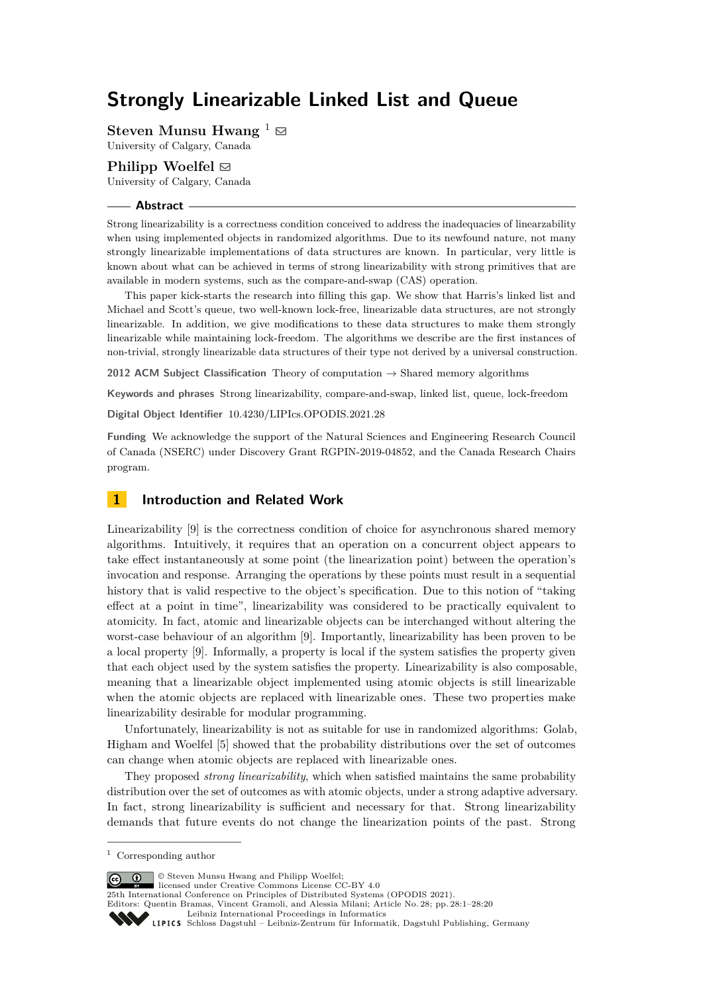# **Strongly Linearizable Linked List and Queue**

**Steven Munsu Hwang**  $\frac{1}{2}$ 

University of Calgary, Canada

# **Philipp Woelfel** ⊠

University of Calgary, Canada

## **Abstract**

Strong linearizability is a correctness condition conceived to address the inadequacies of linearzability when using implemented objects in randomized algorithms. Due to its newfound nature, not many strongly linearizable implementations of data structures are known. In particular, very little is known about what can be achieved in terms of strong linearizability with strong primitives that are available in modern systems, such as the compare-and-swap (CAS) operation.

This paper kick-starts the research into filling this gap. We show that Harris's linked list and Michael and Scott's queue, two well-known lock-free, linearizable data structures, are not strongly linearizable. In addition, we give modifications to these data structures to make them strongly linearizable while maintaining lock-freedom. The algorithms we describe are the first instances of non-trivial, strongly linearizable data structures of their type not derived by a universal construction.

**2012 ACM Subject Classification** Theory of computation → Shared memory algorithms

**Keywords and phrases** Strong linearizability, compare-and-swap, linked list, queue, lock-freedom

**Digital Object Identifier** [10.4230/LIPIcs.OPODIS.2021.28](https://doi.org/10.4230/LIPIcs.OPODIS.2021.28)

**Funding** We acknowledge the support of the Natural Sciences and Engineering Research Council of Canada (NSERC) under Discovery Grant RGPIN-2019-04852, and the Canada Research Chairs program.

# **1 Introduction and Related Work**

Linearizability [\[9\]](#page-14-0) is the correctness condition of choice for asynchronous shared memory algorithms. Intuitively, it requires that an operation on a concurrent object appears to take effect instantaneously at some point (the linearization point) between the operation's invocation and response. Arranging the operations by these points must result in a sequential history that is valid respective to the object's specification. Due to this notion of "taking effect at a point in time", linearizability was considered to be practically equivalent to atomicity. In fact, atomic and linearizable objects can be interchanged without altering the worst-case behaviour of an algorithm [\[9\]](#page-14-0). Importantly, linearizability has been proven to be a local property [\[9\]](#page-14-0). Informally, a property is local if the system satisfies the property given that each object used by the system satisfies the property. Linearizability is also composable, meaning that a linearizable object implemented using atomic objects is still linearizable when the atomic objects are replaced with linearizable ones. These two properties make linearizability desirable for modular programming.

Unfortunately, linearizability is not as suitable for use in randomized algorithms: Golab, Higham and Woelfel [\[5\]](#page-14-1) showed that the probability distributions over the set of outcomes can change when atomic objects are replaced with linearizable ones.

They proposed *strong linearizability*, which when satisfied maintains the same probability distribution over the set of outcomes as with atomic objects, under a strong adaptive adversary. In fact, strong linearizability is sufficient and necessary for that. Strong linearizability demands that future events do not change the linearization points of the past. Strong

© Steven Munsu Hwang and Philipp Woelfel;  $\boxed{6}$   $\boxed{0}$ 

licensed under Creative Commons License CC-BY 4.0

25th International Conference on Principles of Distributed Systems (OPODIS 2021). Editors: Quentin Bramas, Vincent Gramoli, and Alessia Milani; Article No. 28; pp. 28:1–28:20

[Leibniz International Proceedings in Informatics](https://www.dagstuhl.de/lipics/)

<sup>1</sup> Corresponding author

[Schloss Dagstuhl – Leibniz-Zentrum für Informatik, Dagstuhl Publishing, Germany](https://www.dagstuhl.de)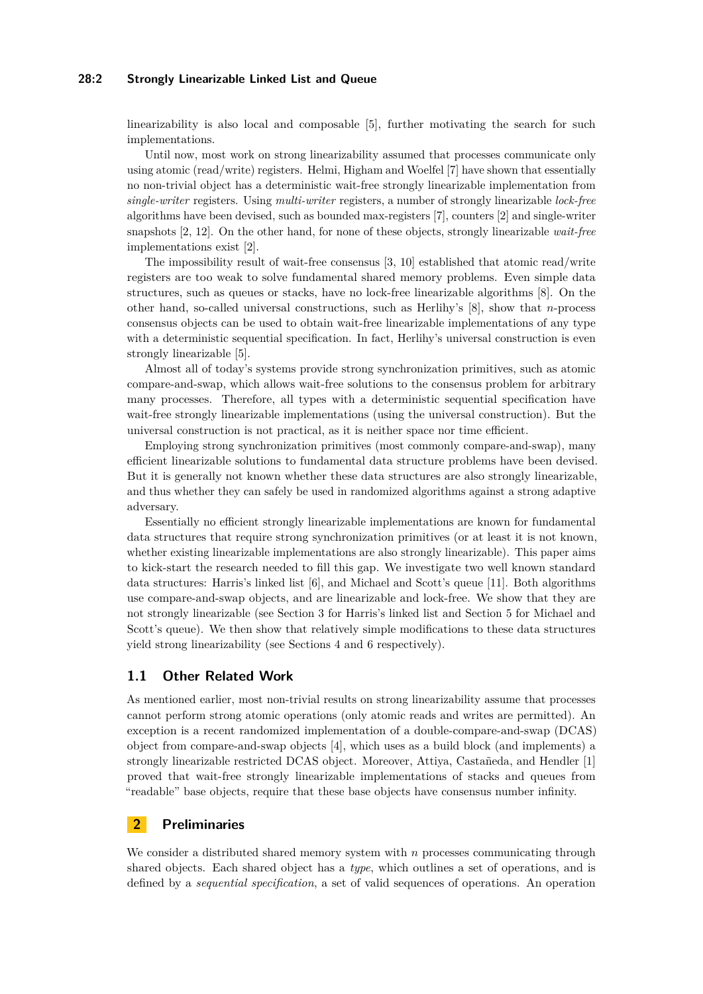# **28:2 Strongly Linearizable Linked List and Queue**

linearizability is also local and composable [\[5\]](#page-14-1), further motivating the search for such implementations.

Until now, most work on strong linearizability assumed that processes communicate only using atomic (read/write) registers. Helmi, Higham and Woelfel [\[7\]](#page-14-2) have shown that essentially no non-trivial object has a deterministic wait-free strongly linearizable implementation from *single-writer* registers. Using *multi-writer* registers, a number of strongly linearizable *lock-free* algorithms have been devised, such as bounded max-registers [\[7\]](#page-14-2), counters [\[2\]](#page-14-3) and single-writer snapshots [\[2,](#page-14-3) [12\]](#page-14-4). On the other hand, for none of these objects, strongly linearizable *wait-free* implementations exist [\[2\]](#page-14-3).

The impossibility result of wait-free consensus [\[3,](#page-14-5) [10\]](#page-14-6) established that atomic read/write registers are too weak to solve fundamental shared memory problems. Even simple data structures, such as queues or stacks, have no lock-free linearizable algorithms [\[8\]](#page-14-7). On the other hand, so-called universal constructions, such as Herlihy's [\[8\]](#page-14-7), show that *n*-process consensus objects can be used to obtain wait-free linearizable implementations of any type with a deterministic sequential specification. In fact, Herlihy's universal construction is even strongly linearizable [\[5\]](#page-14-1).

Almost all of today's systems provide strong synchronization primitives, such as atomic compare-and-swap, which allows wait-free solutions to the consensus problem for arbitrary many processes. Therefore, all types with a deterministic sequential specification have wait-free strongly linearizable implementations (using the universal construction). But the universal construction is not practical, as it is neither space nor time efficient.

Employing strong synchronization primitives (most commonly compare-and-swap), many efficient linearizable solutions to fundamental data structure problems have been devised. But it is generally not known whether these data structures are also strongly linearizable, and thus whether they can safely be used in randomized algorithms against a strong adaptive adversary.

Essentially no efficient strongly linearizable implementations are known for fundamental data structures that require strong synchronization primitives (or at least it is not known, whether existing linearizable implementations are also strongly linearizable). This paper aims to kick-start the research needed to fill this gap. We investigate two well known standard data structures: Harris's linked list [\[6\]](#page-14-8), and Michael and Scott's queue [\[11\]](#page-14-9). Both algorithms use compare-and-swap objects, and are linearizable and lock-free. We show that they are not strongly linearizable (see Section [3](#page-3-0) for Harris's linked list and Section [5](#page-10-0) for Michael and Scott's queue). We then show that relatively simple modifications to these data structures yield strong linearizability (see Sections [4](#page-5-0) and [6](#page-10-1) respectively).

# **1.1 Other Related Work**

As mentioned earlier, most non-trivial results on strong linearizability assume that processes cannot perform strong atomic operations (only atomic reads and writes are permitted). An exception is a recent randomized implementation of a double-compare-and-swap (DCAS) object from compare-and-swap objects [\[4\]](#page-14-10), which uses as a build block (and implements) a strongly linearizable restricted DCAS object. Moreover, Attiya, Castañeda, and Hendler [\[1\]](#page-14-11) proved that wait-free strongly linearizable implementations of stacks and queues from "readable" base objects, require that these base objects have consensus number infinity.

# **2 Preliminaries**

We consider a distributed shared memory system with *n* processes communicating through shared objects. Each shared object has a *type*, which outlines a set of operations, and is defined by a *sequential specification*, a set of valid sequences of operations. An operation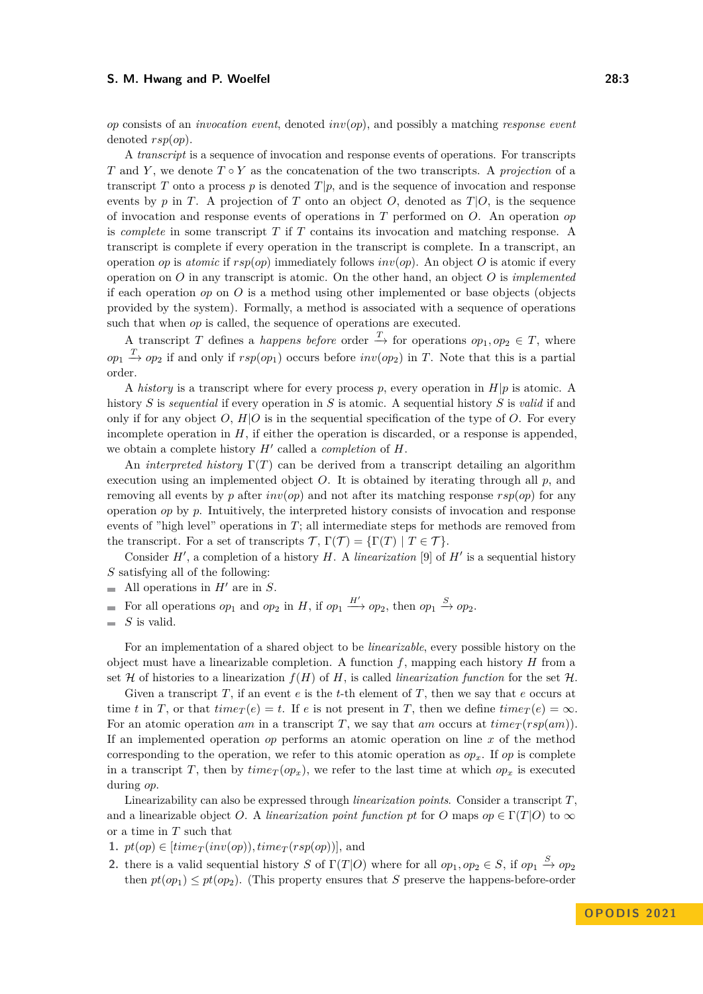*op* consists of an *invocation event*, denoted *inv*(*op*), and possibly a matching *response event* denoted *rsp*(*op*).

A *transcript* is a sequence of invocation and response events of operations. For transcripts *T* and *Y*, we denote *T* ◦ *Y* as the concatenation of the two transcripts. A *projection* of a transcript *T* onto a process *p* is denoted  $T|p$ , and is the sequence of invocation and response events by *p* in *T*. A projection of *T* onto an object *O*, denoted as  $T|O$ , is the sequence of invocation and response events of operations in *T* performed on *O*. An operation *op* is *complete* in some transcript *T* if *T* contains its invocation and matching response. A transcript is complete if every operation in the transcript is complete. In a transcript, an operation *op* is *atomic* if  $rsp(op)$  immediately follows  $inv(op)$ . An object *O* is atomic if every operation on *O* in any transcript is atomic. On the other hand, an object *O* is *implemented* if each operation *op* on *O* is a method using other implemented or base objects (objects provided by the system). Formally, a method is associated with a sequence of operations such that when *op* is called, the sequence of operations are executed.

A transcript *T* defines a *happens before* order  $\stackrel{T}{\to}$  for operations  $op_1, op_2 \in T$ , where  $op_1 \stackrel{T}{\rightarrow} op_2$  if and only if  $rsp(op_1)$  occurs before  $inv(op_2)$  in *T*. Note that this is a partial order.

A *history* is a transcript where for every process p, every operation in  $H|p$  is atomic. A history *S* is *sequential* if every operation in *S* is atomic. A sequential history *S* is *valid* if and only if for any object  $O$ ,  $H|O$  is in the sequential specification of the type of  $O$ . For every incomplete operation in  $H$ , if either the operation is discarded, or a response is appended. we obtain a complete history *H*′ called a *completion* of *H*.

An *interpreted history* Γ(*T*) can be derived from a transcript detailing an algorithm execution using an implemented object  $O$ . It is obtained by iterating through all  $p$ , and removing all events by *p* after  $inv(op)$  and not after its matching response  $rsp(op)$  for any operation *op* by *p*. Intuitively, the interpreted history consists of invocation and response events of "high level" operations in *T*; all intermediate steps for methods are removed from the transcript. For a set of transcripts  $\mathcal{T}, \Gamma(\mathcal{T}) = {\Gamma(T) | T \in \mathcal{T}}$ .

Consider  $H'$ , a completion of a history  $H$ . A *linearization* [\[9\]](#page-14-0) of  $H'$  is a sequential history *S* satisfying all of the following:

- All operations in  $H'$  are in  $S$ .
- For all operations  $op_1$  and  $op_2$  in *H*, if  $op_1 \xrightarrow{H'} op_2$ , then  $op_1 \xrightarrow{S} op_2$ .  $\equiv$

For an implementation of a shared object to be *linearizable*, every possible history on the object must have a linearizable completion. A function *f*, mapping each history *H* from a set  $H$  of histories to a linearization  $f(H)$  of  $H$ , is called *linearization function* for the set  $H$ .

Given a transcript *T*, if an event *e* is the *t*-th element of *T*, then we say that *e* occurs at time *t* in *T*, or that  $time_T(e) = t$ . If *e* is not present in *T*, then we define  $time_T(e) = \infty$ . For an atomic operation *am* in a transcript *T*, we say that *am* occurs at  $time_T(rsp(am))$ . If an implemented operation *op* performs an atomic operation on line *x* of the method corresponding to the operation, we refer to this atomic operation as  $op<sub>x</sub>$ . If  $op$  is complete in a transcript *T*, then by  $\text{time}_T(op_x)$ , we refer to the last time at which  $op_x$  is executed during *op*.

Linearizability can also be expressed through *linearization points*. Consider a transcript *T*, and a linearizable object *O*. A *linearization point function* pt for *O* maps  $op \in \Gamma(T|O)$  to  $\infty$ or a time in *T* such that

- 1.  $pt(op) \in [time_T(inv(op)), time_T(rsp(op))]$ , and
- **2.** there is a valid sequential history *S* of  $\Gamma(T|O)$  where for all  $op_1, op_2 \in S$ , if  $op_1 \stackrel{S}{\to} op_2$ then  $pt(op_1) \leq pt(op_2)$ . (This property ensures that *S* preserve the happens-before-order

*S* is valid.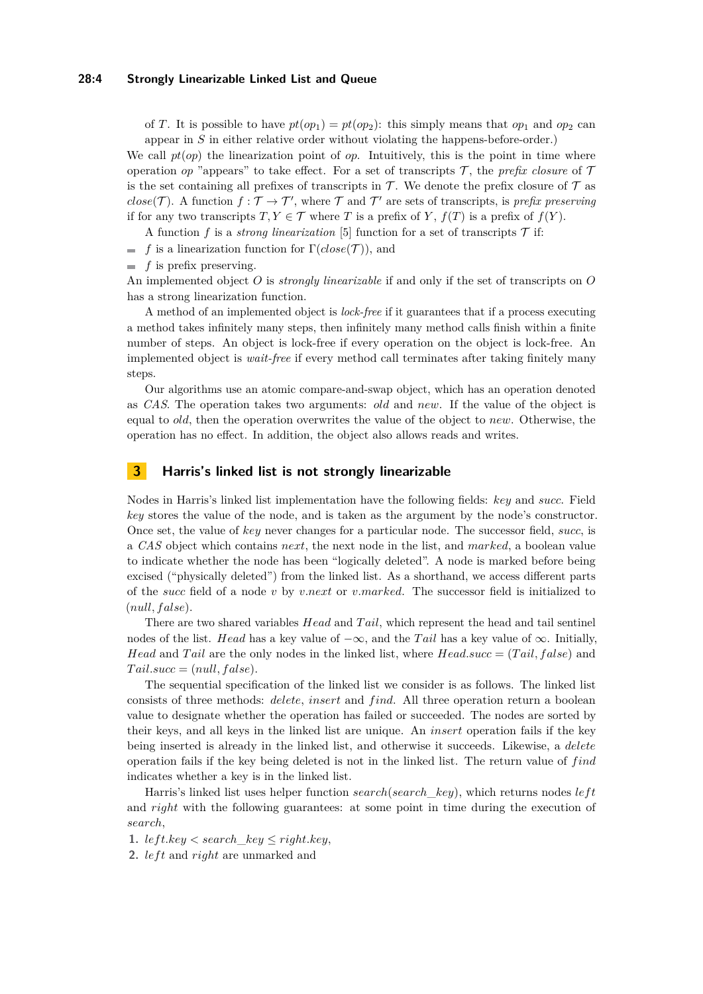## **28:4 Strongly Linearizable Linked List and Queue**

of *T*. It is possible to have  $pt(op_1) = pt(op_2)$ : this simply means that  $op_1$  and  $op_2$  can appear in *S* in either relative order without violating the happens-before-order.)

We call  $pt(op)$  the linearization point of *op*. Intuitively, this is the point in time where operation *op* "appears" to take effect. For a set of transcripts  $\mathcal{T}$ , the *prefix closure* of  $\mathcal{T}$ is the set containing all prefixes of transcripts in  $\mathcal T$ . We denote the prefix closure of  $\mathcal T$  as  $close(\mathcal{T})$ . A function  $f : \mathcal{T} \to \mathcal{T}'$ , where  $\mathcal{T}$  and  $\mathcal{T}'$  are sets of transcripts, is *prefix preserving* if for any two transcripts  $T, Y \in \mathcal{T}$  where *T* is a prefix of *Y*,  $f(T)$  is a prefix of  $f(Y)$ .

A function f is a *strong linearization* [\[5\]](#page-14-1) function for a set of transcripts  $\mathcal T$  if:

- *f* is a linearization function for  $\Gamma(\text{close}(\mathcal{T}))$ , and
- $\blacksquare$  *f* is prefix preserving.

An implemented object *O* is *strongly linearizable* if and only if the set of transcripts on *O* has a strong linearization function.

A method of an implemented object is *lock-free* if it guarantees that if a process executing a method takes infinitely many steps, then infinitely many method calls finish within a finite number of steps. An object is lock-free if every operation on the object is lock-free. An implemented object is *wait-free* if every method call terminates after taking finitely many steps.

Our algorithms use an atomic compare-and-swap object, which has an operation denoted as *CAS*. The operation takes two arguments: *old* and *new*. If the value of the object is equal to *old*, then the operation overwrites the value of the object to *new*. Otherwise, the operation has no effect. In addition, the object also allows reads and writes.

# <span id="page-3-0"></span>**3 Harris's linked list is not strongly linearizable**

Nodes in Harris's linked list implementation have the following fields: *key* and *succ*. Field *key* stores the value of the node, and is taken as the argument by the node's constructor. Once set, the value of *key* never changes for a particular node. The successor field, *succ*, is a *CAS* object which contains *next*, the next node in the list, and *marked*, a boolean value to indicate whether the node has been "logically deleted". A node is marked before being excised ("physically deleted") from the linked list. As a shorthand, we access different parts of the *succ* field of a node *v* by *v.next* or *v.marked*. The successor field is initialized to (*null, f alse*).

There are two shared variables *Head* and *T ail*, which represent the head and tail sentinel nodes of the list. *Head* has a key value of −∞, and the *T ail* has a key value of ∞. Initially, *Head* and *Tail* are the only nodes in the linked list, where *Head.succ* = (*Tail, false*) and  $Tail.size = (null, false).$ 

The sequential specification of the linked list we consider is as follows. The linked list consists of three methods: *delete*, *insert* and *f ind*. All three operation return a boolean value to designate whether the operation has failed or succeeded. The nodes are sorted by their keys, and all keys in the linked list are unique. An *insert* operation fails if the key being inserted is already in the linked list, and otherwise it succeeds. Likewise, a *delete* operation fails if the key being deleted is not in the linked list. The return value of *f ind* indicates whether a key is in the linked list.

Harris's linked list uses helper function *search*(*search\_key*), which returns nodes *left* and *right* with the following guarantees: at some point in time during the execution of *search*,

1.  $left-key < search\_key \le right-key$ ,

**2.** *left* and *right* are unmarked and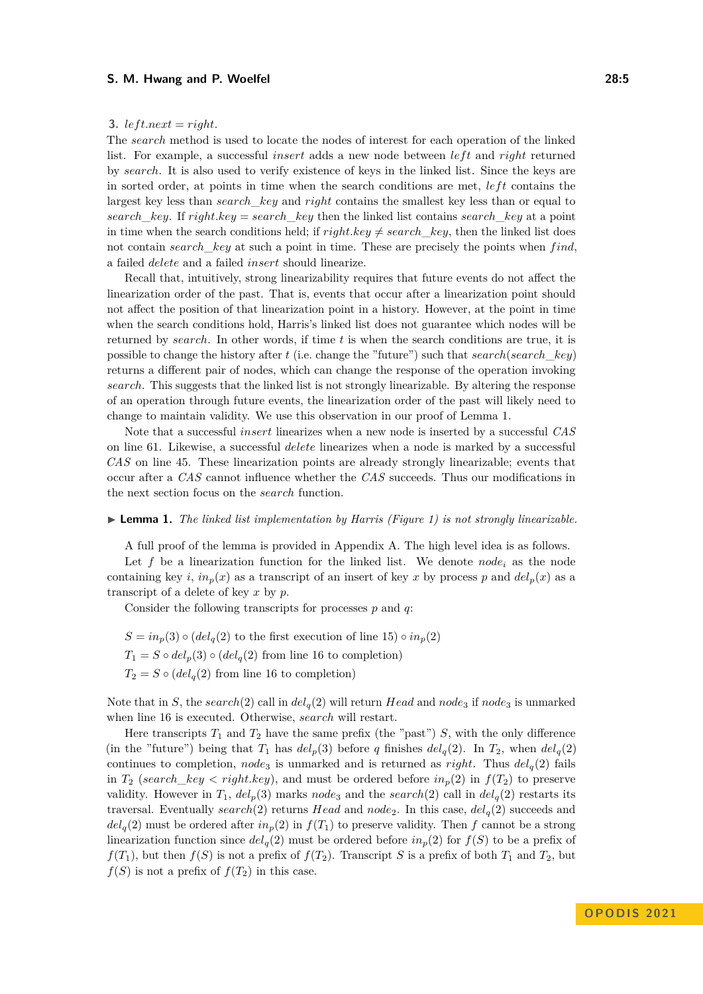## **3.** *left.next* = *right.*

The *search* method is used to locate the nodes of interest for each operation of the linked list. For example, a successful *insert* adds a new node between *left* and *right* returned by *search*. It is also used to verify existence of keys in the linked list. Since the keys are in sorted order, at points in time when the search conditions are met,  $left$   $left$ largest key less than *search*\_*key* and *right* contains the smallest key less than or equal to *search key*. If *right.key* = *search key* then the linked list contains *search key* at a point in time when the search conditions held; if  $right. key \neq search \, key$ , then the linked list does not contain *search*\_*key* at such a point in time. These are precisely the points when *f ind*, a failed *delete* and a failed *insert* should linearize.

Recall that, intuitively, strong linearizability requires that future events do not affect the linearization order of the past. That is, events that occur after a linearization point should not affect the position of that linearization point in a history. However, at the point in time when the search conditions hold, Harris's linked list does not guarantee which nodes will be returned by *search*. In other words, if time *t* is when the search conditions are true, it is possible to change the history after *t* (i.e. change the "future") such that *search*(*search*\_*key*) returns a different pair of nodes, which can change the response of the operation invoking *search*. This suggests that the linked list is not strongly linearizable. By altering the response of an operation through future events, the linearization order of the past will likely need to change to maintain validity. We use this observation in our proof of Lemma [1.](#page-4-0)

Note that a successful *insert* linearizes when a new node is inserted by a successful *CAS* on line [61.](#page-5-1) Likewise, a successful *delete* linearizes when a node is marked by a successful *CAS* on line [45.](#page-5-2) These linearization points are already strongly linearizable; events that occur after a *CAS* cannot influence whether the *CAS* succeeds. Thus our modifications in the next section focus on the *search* function.

#### <span id="page-4-0"></span>▶ **Lemma 1.** *The linked list implementation by Harris (Figure [1\)](#page-5-3) is not strongly linearizable.*

A full proof of the lemma is provided in Appendix [A.](#page-14-12) The high level idea is as follows.

Let  $f$  be a linearization function for the linked list. We denote *node*<sub>i</sub> as the node containing key *i*,  $in_p(x)$  as a transcript of an insert of key x by process p and  $del_p(x)$  as a transcript of a delete of key *x* by *p*.

Consider the following transcripts for processes *p* and *q*:

 $S = in_p(3) \circ (del_q(2)$  to the first execution of line [15\)](#page-5-4)  $\circ in_p(2)$  $T_1 = S \circ del_p(3) \circ (del_q(2)$  from line [16](#page-5-5) to completion)  $T_2 = S \circ (del_q(2)$  from line [16](#page-5-5) to completion)

Note that in *S*, the *search*(2) call in  $del_q(2)$  will return *Head* and  $node_3$  if  $node_3$  is unmarked when line [16](#page-5-5) is executed. Otherwise, *search* will restart.

Here transcripts  $T_1$  and  $T_2$  have the same prefix (the "past")  $S$ , with the only difference (in the "future") being that  $T_1$  has  $del_p(3)$  before *q* finishes  $del_q(2)$ . In  $T_2$ , when  $del_q(2)$ continues to completion, *node*<sub>3</sub> is unmarked and is returned as *right*. Thus  $del_q(2)$  fails in *T*<sub>2</sub> (*search\_key < right.key*), and must be ordered before  $in_p(2)$  in  $f(T_2)$  to preserve validity. However in  $T_1$ ,  $del_p(3)$  marks  $node_3$  and the  $search(2)$  call in  $del_q(2)$  restarts its traversal. Eventually *search*(2) returns *Head* and  $node_2$ . In this case,  $del_q(2)$  succeeds and  $del_q(2)$  must be ordered after  $in_p(2)$  in  $f(T_1)$  to preserve validity. Then *f* cannot be a strong linearization function since  $del_q(2)$  must be ordered before  $in_p(2)$  for  $f(S)$  to be a prefix of  $f(T_1)$ , but then  $f(S)$  is not a prefix of  $f(T_2)$ . Transcript *S* is a prefix of both  $T_1$  and  $T_2$ , but  $f(S)$  is not a prefix of  $f(T_2)$  in this case.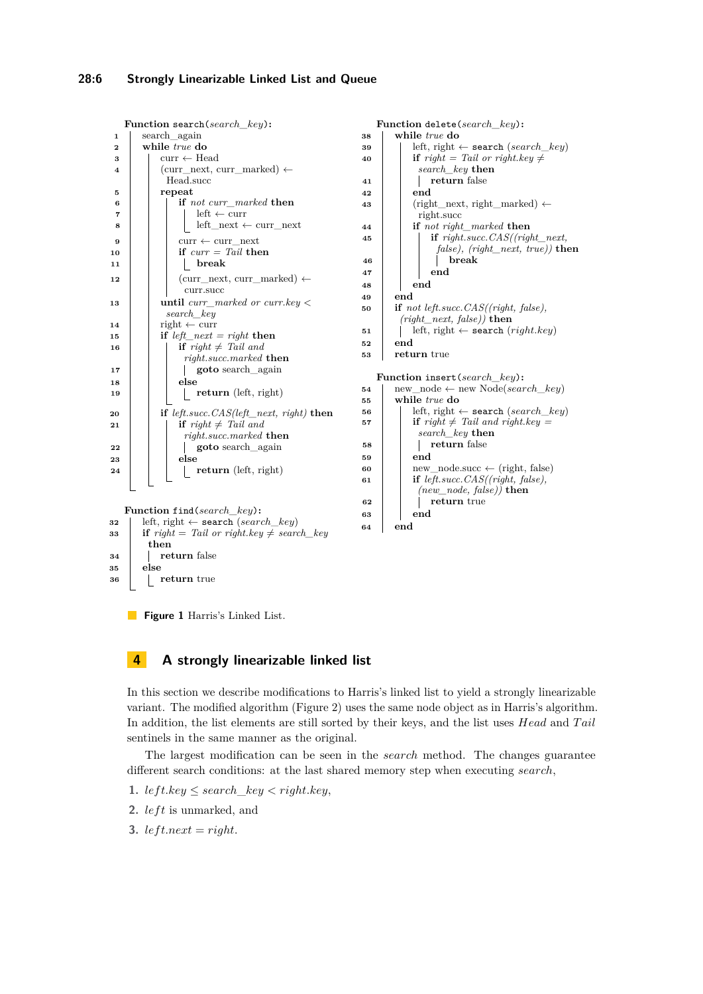```
Function search(search_key):
1 search_again
2 while true do
 3 \vert curr \leftarrow Head
 4 (curr next, curr marked) \leftarrowHead.succ
 5 repeat
 6 if not curr_marked then
 \mathbf{7} left \leftarrow curr
 8 \vert \vert \vert left_next \leftarrow curr_next
             \text{curr} \leftarrow \text{curr}<sub>next</sub>
\bf{i}0 if \text{curr} = \overline{\text{Tail}} then
11 break
12 \vert (curr next, curr marked) \leftarrowcurr.succ
13 until curr_marked or curr.key <
          search_key
14 | right \leftarrow curr
15 if left_next = right then
16 if right \neq Tail and
              right.succ.marked then
17 goto search_again
18 else
19 return (left, right)
20 if left.succ.CAS(left_next, right) then
21 if \text{right} \neq \text{Tail} and
              right.succ.marked then
22 goto search again
23 else
24 | | | return (left, right)
  Function find(search_key):
32 left, right ← search (search_key)
33 if right = Tail \ or \ right \ key \neq search\_keythen
34 return false
35 else
36 return true
                                                  Function delete(search_key):
                                               38 while true do
                                               39 left, right ← search (search_key)
                                               40 if right = Tail \ or \ right. key \neqsearch_key then
                                               41 return false
                                               42 end
                                               43 (right_next, right_marked) \leftarrowright.succ
                                               44 if not right_marked then
                                               45 if right.succ.CAS((right_next,
                                                             false), (right_next, true)) then
                                               46 break
                                               47 end
                                               48 end
                                               49 end
                                               50 if not left.succ.CAS((right, false),
                                                      (right_next, false)) then
                                               51 left, right \leftarrow search (right.key)
                                               52 end
                                               53 return true
                                                  Function insert(search_key):
                                               54 \vert new_node \leftarrow new Node(search_key)
                                               55 while true do
                                               56 left, right \leftarrow search (search key)
                                               57 if right \neq Tail and right. key =search_key then
                                               58 return false
                                               59 end
                                               60 new_node.succ \leftarrow (right, false)
                                               61 if left.succ.CAS((right, false),
                                                          (new_node, false)) then
                                               62 return true
                                               63 end
                                               64 end
```
<span id="page-5-1"></span>

# <span id="page-5-0"></span>**4 A strongly linearizable linked list**

In this section we describe modifications to Harris's linked list to yield a strongly linearizable variant. The modified algorithm (Figure [2\)](#page-7-0) uses the same node object as in Harris's algorithm. In addition, the list elements are still sorted by their keys, and the list uses *Head* and *T ail* sentinels in the same manner as the original.

The largest modification can be seen in the *search* method. The changes guarantee different search conditions: at the last shared memory step when executing *search*,

- 1. *left.key*  $\leq$  *search\_key*  $\lt$  *right.key*,
- **2.** *left* is unmarked, and
- **3.** *left.next* = *right.*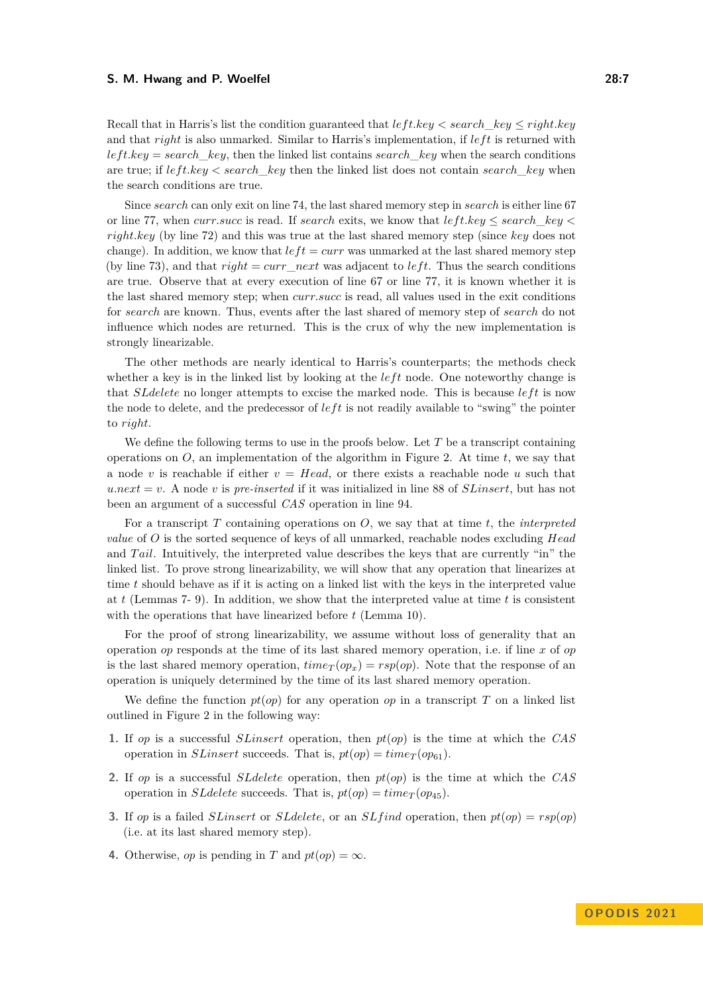Recall that in Harris's list the condition guaranteed that *lef t.key < search*\_*key* ≤ *right.key* and that *right* is also unmarked. Similar to Harris's implementation, if *lef t* is returned with  $left-key = search$  *key*, then the linked list contains *search key* when the search conditions are true; if *lef t.key < search*\_*key* then the linked list does not contain *search*\_*key* when the search conditions are true.

Since *search* can only exit on line [74,](#page-7-1) the last shared memory step in *search* is either line [67](#page-7-2) or line [77,](#page-7-3) when *curr.succ* is read. If *search* exits, we know that  $leftkey \leq search$  key < *right.key* (by line [72\)](#page-7-4) and this was true at the last shared memory step (since *key* does not change). In addition, we know that  $left = curr$  was unmarked at the last shared memory step (by line [73\)](#page-7-5), and that  $right = curr$  *next* was adjacent to *left*. Thus the search conditions are true. Observe that at every execution of line [67](#page-7-2) or line [77,](#page-7-3) it is known whether it is the last shared memory step; when *curr.succ* is read, all values used in the exit conditions for *search* are known. Thus, events after the last shared of memory step of *search* do not influence which nodes are returned. This is the crux of why the new implementation is strongly linearizable.

The other methods are nearly identical to Harris's counterparts; the methods check whether a key is in the linked list by looking at the *left* node. One noteworthy change is that *SLdelete* no longer attempts to excise the marked node. This is because *lef t* is now the node to delete, and the predecessor of *lef t* is not readily available to "swing" the pointer to *right*.

We define the following terms to use in the proofs below. Let *T* be a transcript containing operations on *O*, an implementation of the algorithm in Figure [2.](#page-7-0) At time *t*, we say that a node *v* is reachable if either  $v = Head$ , or there exists a reachable node *u* such that  $u.next = v$ . A node *v* is *pre-inserted* if it was initialized in line [88](#page-7-6) of *SLinsert*, but has not been an argument of a successful *CAS* operation in line [94.](#page-7-7)

For a transcript *T* containing operations on *O*, we say that at time *t*, the *interpreted value* of *O* is the sorted sequence of keys of all unmarked, reachable nodes excluding *Head* and *Tail*. Intuitively, the interpreted value describes the keys that are currently "in" the linked list. To prove strong linearizability, we will show that any operation that linearizes at time *t* should behave as if it is acting on a linked list with the keys in the interpreted value at *t* (Lemmas [7-](#page-8-0) [9\)](#page-8-1). In addition, we show that the interpreted value at time *t* is consistent with the operations that have linearized before *t* (Lemma [10\)](#page-8-2).

For the proof of strong linearizability, we assume without loss of generality that an operation *op* responds at the time of its last shared memory operation, i.e. if line *x* of *op* is the last shared memory operation,  $time<sub>T</sub>(op<sub>x</sub>) = rsp(op)$ . Note that the response of an operation is uniquely determined by the time of its last shared memory operation.

We define the function  $pt(op)$  for any operation  $op$  in a transcript  $T$  on a linked list outlined in Figure [2](#page-7-0) in the following way:

- **1.** If *op* is a successful *SLinsert* operation, then *pt*(*op*) is the time at which the *CAS* operation in *SLinsert* succeeds. That is,  $pt(op) = time<sub>T</sub>(op<sub>61</sub>)$  $pt(op) = time<sub>T</sub>(op<sub>61</sub>)$  $pt(op) = time<sub>T</sub>(op<sub>61</sub>)$ .
- **2.** If *op* is a successful *SLdelete* operation, then *pt*(*op*) is the time at which the *CAS* operation in *SLdelete* succeeds. That is,  $pt(op) = time<sub>T</sub>(op<sub>45</sub>)$  $pt(op) = time<sub>T</sub>(op<sub>45</sub>)$  $pt(op) = time<sub>T</sub>(op<sub>45</sub>)$ .
- **3.** If *op* is a failed *SLinsert* or *SLdelete*, or an *SLf ind* operation, then *pt*(*op*) = *rsp*(*op*) (i.e. at its last shared memory step).
- **4.** Otherwise, *op* is pending in *T* and  $pt(op) = \infty$ .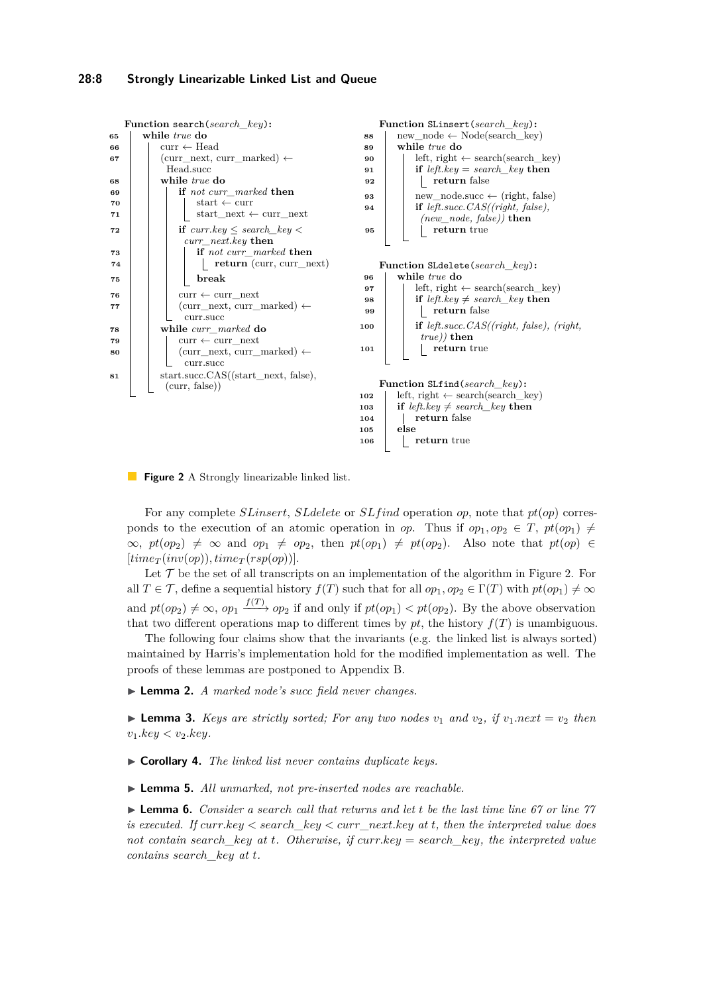<span id="page-7-11"></span><span id="page-7-10"></span><span id="page-7-7"></span><span id="page-7-6"></span><span id="page-7-5"></span><span id="page-7-4"></span><span id="page-7-2"></span><span id="page-7-1"></span><span id="page-7-0"></span>

<span id="page-7-12"></span><span id="page-7-9"></span><span id="page-7-8"></span><span id="page-7-3"></span>**Figure 2** A Strongly linearizable linked list.

For any complete *SLinsert*, *SLdelete* or *SLf ind* operation *op*, note that *pt*(*op*) corresponds to the execution of an atomic operation in *op*. Thus if  $op_1, op_2 \in T$ ,  $pt(op_1) \neq$  $\infty$ ,  $pt(op_2) \neq \infty$  and  $op_1 \neq op_2$ , then  $pt(op_1) \neq pt(op_2)$ . Also note that  $pt(op) \in$  $[time_T(inv(op)), time_T(rsp(op))].$ 

Let  $\mathcal T$  be the set of all transcripts on an implementation of the algorithm in Figure [2.](#page-7-0) For all  $T \in \mathcal{T}$ , define a sequential history  $f(T)$  such that for all  $op_1, op_2 \in \Gamma(T)$  with  $pt(op_1) \neq \infty$ and  $pt(op_2) \neq \infty$ ,  $op_1 \xrightarrow{f(T)} op_2$  if and only if  $pt(op_1) < pt(op_2)$ . By the above observation that two different operations map to different times by  $pt$ , the history  $f(T)$  is unambiguous.

The following four claims show that the invariants (e.g. the linked list is always sorted) maintained by Harris's implementation hold for the modified implementation as well. The proofs of these lemmas are postponed to Appendix [B.](#page-15-0)

▶ **Lemma 2.** *A marked node's succ field never changes.*

 $\blacktriangleright$  **Lemma 3.** *Keys are strictly sorted; For any two nodes*  $v_1$  *and*  $v_2$ *, if*  $v_1.next = v_2$  *then*  $v_1 \nkey < v_2 \nkey$ .

▶ **Corollary 4.** *The linked list never contains duplicate keys.*

▶ **Lemma 5.** *All unmarked, not pre-inserted nodes are reachable.*

▶ **Lemma 6.** *Consider a search call that returns and let t be the last time line [67](#page-7-2) or line [77](#page-7-3) is executed. If curr.key < search\_key < curr\_next.key at t, then the interpreted value does not contain search\_key at t. Otherwise, if curr.key* = *search\_key, the interpreted value contains search\_key at t.*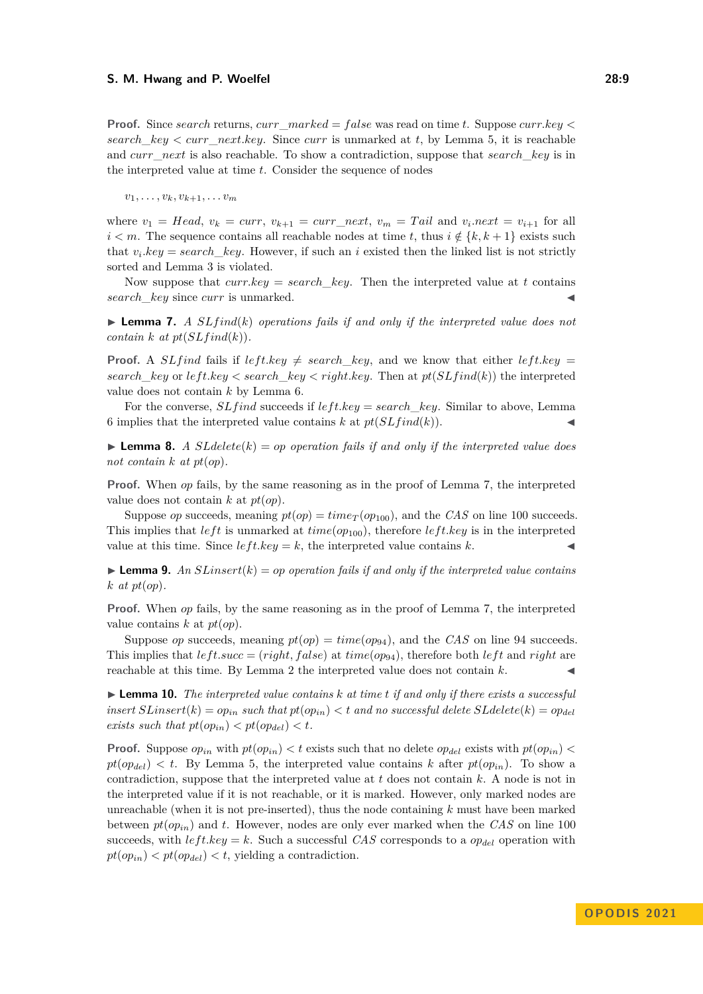**Proof.** Since *search* returns, *curr*\_*marked* = *f alse* was read on time *t*. Suppose *curr.key < search*  $key < curr$  *next.key.* Since *curr* is unmarked at *t*, by Lemma 5, it is reachable and *curr*\_*next* is also reachable. To show a contradiction, suppose that *search*\_*key* is in the interpreted value at time *t*. Consider the sequence of nodes

 $v_1, \ldots, v_k, v_{k+1}, \ldots v_m$ 

where  $v_1 = Head$ ,  $v_k = curr$ ,  $v_{k+1} = curr\_next$ ,  $v_m = Tail$  and  $v_i.next = v_{i+1}$  for all *i*  $\leq m$ . The sequence contains all reachable nodes at time *t*, thus *i*  $\notin \{k, k + 1\}$  exists such that  $v_i \text{.} key = search\_key$ . However, if such an *i* existed then the linked list is not strictly sorted and Lemma 3 is violated.

Now suppose that  $curr(key = search \; key$ . Then the interpreted value at *t* contains *search key* since *curr* is unmarked.

<span id="page-8-0"></span> $\triangleright$  **Lemma 7.** *A SLfind*(*k*) *operations fails if and only if the interpreted value does not contain*  $k$  *at*  $pt(SLfind(k)).$ 

**Proof.** A *SLfind* fails if  $leftkey \neq search$  *key*, and we know that either *left.key* = *search*  $key$  or  $leftkey < search$   $key < right.key$ . Then at  $pt(SLfind(k))$  the interpreted value does not contain *k* by Lemma 6.

For the converse, *SLf ind* succeeds if *lef t.key* = *search*\_*key*. Similar to above, Lemma 6 implies that the interpreted value contains  $k$  at  $pt(SLfind(k)).$ 

<span id="page-8-3"></span> $\blacktriangleright$  **Lemma 8.** *A SLdelete*(*k*) = *op operation fails if and only if the interpreted value does not contain k at pt*(*op*)*.*

**Proof.** When *op* fails, by the same reasoning as in the proof of Lemma 7, the interpreted value does not contain *k* at *pt*(*op*).

Suppose *op* succeeds, meaning  $pt(op) = time_T(op_{100})$  $pt(op) = time_T(op_{100})$  $pt(op) = time_T(op_{100})$ , and the *CAS* on line [100](#page-7-8) succeeds. This implies that *left* is unmarked at  $time(op_{100})$  $time(op_{100})$  $time(op_{100})$ , therefore *left.key* is in the interpreted value at this time. Since  $left-key = k$ , the interpreted value contains  $k$ .

<span id="page-8-1"></span> $\blacktriangleright$  **Lemma 9.** An *SLinsert*( $k$ ) = *op operation fails if and only if the interpreted value contains k at pt*(*op*)*.*

**Proof.** When *op* fails, by the same reasoning as in the proof of Lemma 7, the interpreted value contains *k* at *pt*(*op*).

Suppose *op* succeeds, meaning  $pt(op) = time(op_{94})$  $pt(op) = time(op_{94})$  $pt(op) = time(op_{94})$ , and the *CAS* on line [94](#page-7-7) succeeds. This implies that  $left, left, scale\right)$  at  $time(op_{94})$  $time(op_{94})$  $time(op_{94})$ , therefore both  $left$  and *right* are reachable at this time. By Lemma 2 the interpreted value does not contain  $k$ .

<span id="page-8-2"></span>▶ **Lemma 10.** *The interpreted value contains k at time t if and only if there exists a successful insert*  $SLinear(k) = op_{in}$  *such that*  $pt(op_{in}) < t$  *and no successful delete*  $SLabelete(k) = op_{del}$ *exists such that*  $pt(op_{in}) < pt(op_{del}) < t$ *.* 

**Proof.** Suppose  $op_{in}$  with  $pt(op_{in}) < t$  exists such that no delete  $op_{del}$  exists with  $pt(op_{in}) <$  $pt(op_{del}) < t$ . By Lemma 5, the interpreted value contains *k* after  $pt(op_{in})$ . To show a contradiction, suppose that the interpreted value at *t* does not contain *k*. A node is not in the interpreted value if it is not reachable, or it is marked. However, only marked nodes are unreachable (when it is not pre-inserted), thus the node containing *k* must have been marked between  $pt(op_{in})$  and t. However, nodes are only ever marked when the  $CAS$  on line [100](#page-7-8) succeeds, with  $leftkey = k$ . Such a successful *CAS* corresponds to a  $op_{del}$  operation with  $pt(op_{in}) < pt(op_{del}) < t$ , yielding a contradiction.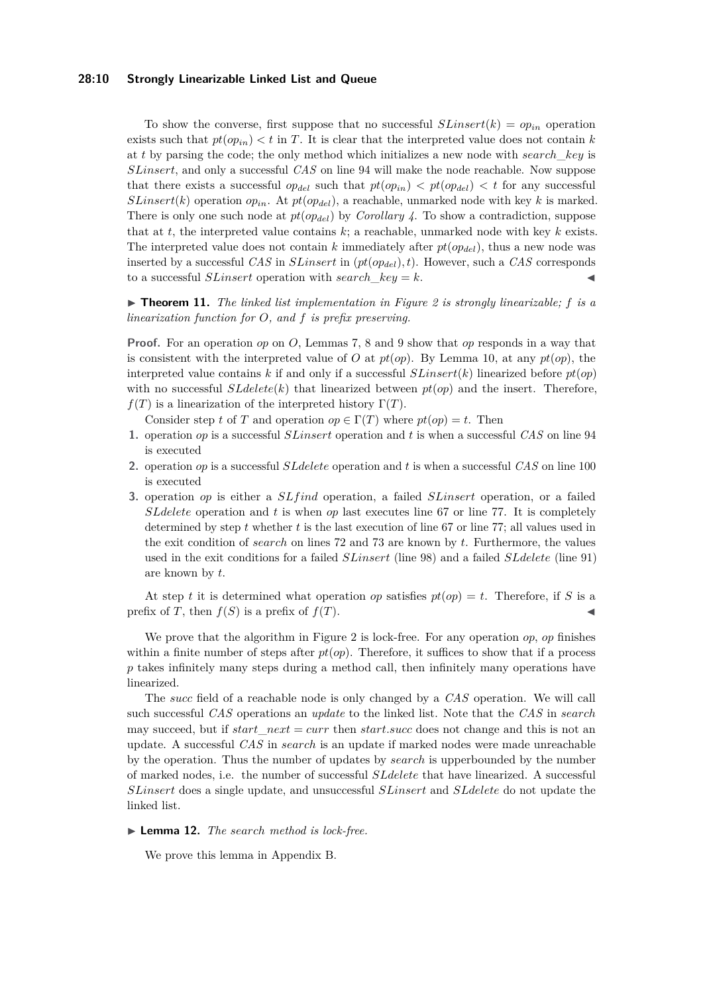## **28:10 Strongly Linearizable Linked List and Queue**

To show the converse, first suppose that no successful  $SLinear(k) = op_{in}$  operation exists such that  $pt(op_{in}) < t$  in *T*. It is clear that the interpreted value does not contain *k* at *t* by parsing the code; the only method which initializes a new node with *search*\_*key* is *SLinsert*, and only a successful *CAS* on line [94](#page-7-7) will make the node reachable. Now suppose that there exists a successful  $op_{del}$  such that  $pt(op_{in}) < pt(op_{del}) < t$  for any successful *SLinsert*(*k*) operation  $op_{in}$ . At  $pt(op_{del})$ , a reachable, unmarked node with key *k* is marked. There is only one such node at *pt*(*opdel*) by *Corollary 4*. To show a contradiction, suppose that at *t*, the interpreted value contains *k*; a reachable, unmarked node with key *k* exists. The interpreted value does not contain *k* immediately after *pt*(*opdel*), thus a new node was inserted by a successful *CAS* in *SLinsert* in (*pt*(*opdel*)*, t*). However, such a *CAS* corresponds to a successful *SLinsert* operation with *search\_key* =  $k$ .

 $\triangleright$  **Theorem 11.** The linked list implementation in Figure [2](#page-7-0) is strongly linearizable; f is a *linearization function for O, and f is prefix preserving.*

**Proof.** For an operation *op* on *O*, Lemmas [7,](#page-8-0) [8](#page-8-3) and [9](#page-8-1) show that *op* responds in a way that is consistent with the interpreted value of *O* at  $pt(op)$ . By Lemma [10,](#page-8-2) at any  $pt(op)$ , the interpreted value contains *k* if and only if a successful *SLinsert*(*k*) linearized before  $pt(op)$ with no successful  $SLdelete(k)$  that linearized between  $pt(op)$  and the insert. Therefore,  $f(T)$  is a linearization of the interpreted history  $\Gamma(T)$ .

Consider step *t* of *T* and operation  $op \in \Gamma(T)$  where  $pt(op) = t$ . Then

- **1.** operation *op* is a successful *SLinsert* operation and *t* is when a successful *CAS* on line [94](#page-7-7) is executed
- **2.** operation *op* is a successful *SLdelete* operation and *t* is when a successful *CAS* on line [100](#page-7-8) is executed
- **3.** operation *op* is either a *SLf ind* operation, a failed *SLinsert* operation, or a failed *SLdelete* operation and *t* is when *op* last executes line [67](#page-7-2) or line [77.](#page-7-3) It is completely determined by step *t* whether *t* is the last execution of line [67](#page-7-2) or line [77;](#page-7-3) all values used in the exit condition of *search* on lines [72](#page-7-4) and [73](#page-7-5) are known by *t*. Furthermore, the values used in the exit conditions for a failed *SLinsert* (line [98\)](#page-7-9) and a failed *SLdelete* (line [91\)](#page-7-10) are known by *t*.

At step *t* it is determined what operation *op* satisfies  $pt(op) = t$ . Therefore, if *S* is a prefix of *T*, then  $f(S)$  is a prefix of  $f(T)$ .

We prove that the algorithm in Figure [2](#page-7-0) is lock-free. For any operation *op*, *op* finishes within a finite number of steps after  $pt(op)$ . Therefore, it suffices to show that if a process *p* takes infinitely many steps during a method call, then infinitely many operations have linearized.

The *succ* field of a reachable node is only changed by a *CAS* operation. We will call such successful *CAS* operations an *update* to the linked list. Note that the *CAS* in *search* may succeed, but if *start*\_*next* = *curr* then *start.succ* does not change and this is not an update. A successful *CAS* in *search* is an update if marked nodes were made unreachable by the operation. Thus the number of updates by *search* is upperbounded by the number of marked nodes, i.e. the number of successful *SLdelete* that have linearized. A successful *SLinsert* does a single update, and unsuccessful *SLinsert* and *SLdelete* do not update the linked list.

▶ **Lemma 12.** *The search method is lock-free.*

We prove this lemma in Appendix [B.](#page-15-0)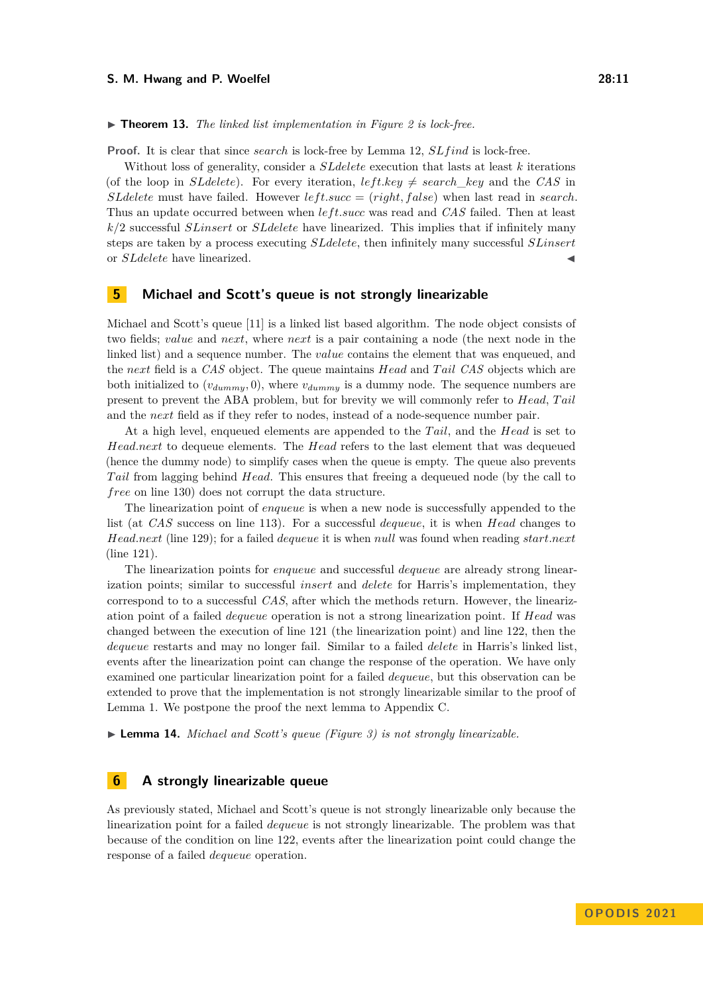▶ **Theorem 13.** *The linked list implementation in Figure [2](#page-7-0) is lock-free.*

**Proof.** It is clear that since *search* is lock-free by Lemma 12, *SLf ind* is lock-free.

Without loss of generality, consider a *SLdelete* execution that lasts at least *k* iterations (of the loop in *SLdelete*). For every iteration,  $leftkey \neq search$  *key* and the *CAS* in *SLdelete* must have failed. However  $left.insert$ ,  $left, false\right)$  when last read in *search*. Thus an update occurred between when *left.succ* was read and *CAS* failed. Then at least *k/*2 successful *SLinsert* or *SLdelete* have linearized. This implies that if infinitely many steps are taken by a process executing *SLdelete*, then infinitely many successful *SLinsert* or *SLdelete* have linearized.

# <span id="page-10-0"></span>**5 Michael and Scott's queue is not strongly linearizable**

Michael and Scott's queue [\[11\]](#page-14-9) is a linked list based algorithm. The node object consists of two fields; *value* and *next*, where *next* is a pair containing a node (the next node in the linked list) and a sequence number. The *value* contains the element that was enqueued, and the *next* field is a *CAS* object. The queue maintains *Head* and *T ail CAS* objects which are both initialized to  $(v_{dummy}, 0)$ , where  $v_{dummy}$  is a dummy node. The sequence numbers are present to prevent the ABA problem, but for brevity we will commonly refer to *Head*, *T ail* and the *next* field as if they refer to nodes, instead of a node-sequence number pair.

At a high level, enqueued elements are appended to the *T ail*, and the *Head* is set to *Head.next* to dequeue elements. The *Head* refers to the last element that was dequeued (hence the dummy node) to simplify cases when the queue is empty. The queue also prevents *T ail* from lagging behind *Head*. This ensures that freeing a dequeued node (by the call to *free* on line [130\)](#page-11-0) does not corrupt the data structure.

The linearization point of *enqueue* is when a new node is successfully appended to the list (at *CAS* success on line [113\)](#page-11-1). For a successful *dequeue*, it is when *Head* changes to *Head.next* (line [129\)](#page-11-2); for a failed *dequeue* it is when *null* was found when reading *start.next* (line [121\)](#page-11-3).

The linearization points for *enqueue* and successful *dequeue* are already strong linearization points; similar to successful *insert* and *delete* for Harris's implementation, they correspond to to a successful *CAS*, after which the methods return. However, the linearization point of a failed *dequeue* operation is not a strong linearization point. If *Head* was changed between the execution of line [121](#page-11-3) (the linearization point) and line [122,](#page-11-4) then the *dequeue* restarts and may no longer fail. Similar to a failed *delete* in Harris's linked list, events after the linearization point can change the response of the operation. We have only examined one particular linearization point for a failed *dequeue*, but this observation can be extended to prove that the implementation is not strongly linearizable similar to the proof of Lemma [1.](#page-4-0) We postpone the proof the next lemma to Appendix [C.](#page-17-0)

▶ **Lemma 14.** *Michael and Scott's queue (Figure [3\)](#page-11-5) is not strongly linearizable.*

# <span id="page-10-1"></span>**6 A strongly linearizable queue**

As previously stated, Michael and Scott's queue is not strongly linearizable only because the linearization point for a failed *dequeue* is not strongly linearizable. The problem was that because of the condition on line [122,](#page-11-4) events after the linearization point could change the response of a failed *dequeue* operation.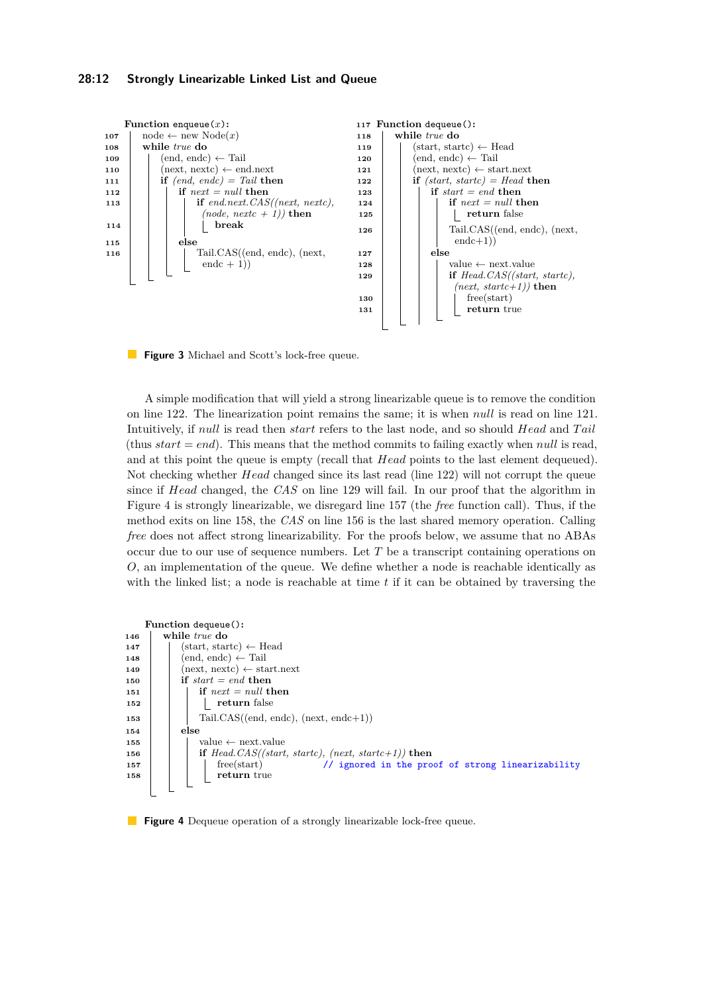## **28:12 Strongly Linearizable Linked List and Queue**

<span id="page-11-14"></span><span id="page-11-13"></span><span id="page-11-5"></span><span id="page-11-3"></span><span id="page-11-1"></span>

<span id="page-11-18"></span><span id="page-11-16"></span><span id="page-11-15"></span><span id="page-11-4"></span><span id="page-11-2"></span><span id="page-11-0"></span>**Figure 3** Michael and Scott's lock-free queue.

A simple modification that will yield a strong linearizable queue is to remove the condition on line [122.](#page-11-4) The linearization point remains the same; it is when *null* is read on line [121.](#page-11-3) Intuitively, if *null* is read then *start* refers to the last node, and so should *Head* and *T ail* (thus  $start = end$ ). This means that the method commits to failing exactly when *null* is read, and at this point the queue is empty (recall that *Head* points to the last element dequeued). Not checking whether *Head* changed since its last read (line [122\)](#page-11-4) will not corrupt the queue since if *Head* changed, the *CAS* on line [129](#page-11-2) will fail. In our proof that the algorithm in Figure [4](#page-11-6) is strongly linearizable, we disregard line [157](#page-11-7) (the *free* function call). Thus, if the method exits on line [158,](#page-11-8) the *CAS* on line [156](#page-11-9) is the last shared memory operation. Calling *free* does not affect strong linearizability. For the proofs below, we assume that no ABAs occur due to our use of sequence numbers. Let *T* be a transcript containing operations on *O*, an implementation of the queue. We define whether a node is reachable identically as with the linked list; a node is reachable at time *t* if it can be obtained by traversing the

```
Function dequeue():
146 while true do
147 \vert (start, startc) \leftarrow Head
148 \vert (end, endc) \leftarrow Tail
149 (next, nextc) \leftarrow start.next
150 if start = end then
151 if next = null then
152 return false
153 Tail.CAS((end, endc), (next, endc+1))
154 else
155 \vert \vert value \leftarrow next.value
156 if Head.CAS((start, startc), (next, startc+1)) then
157 free(start) free(start) free(start) f f f f f f f f f f f f f f f f f f f f f f f f f f f f f
158 return true
```
## <span id="page-11-9"></span><span id="page-11-8"></span><span id="page-11-7"></span>**Figure 4** Dequeue operation of a strongly linearizable lock-free queue.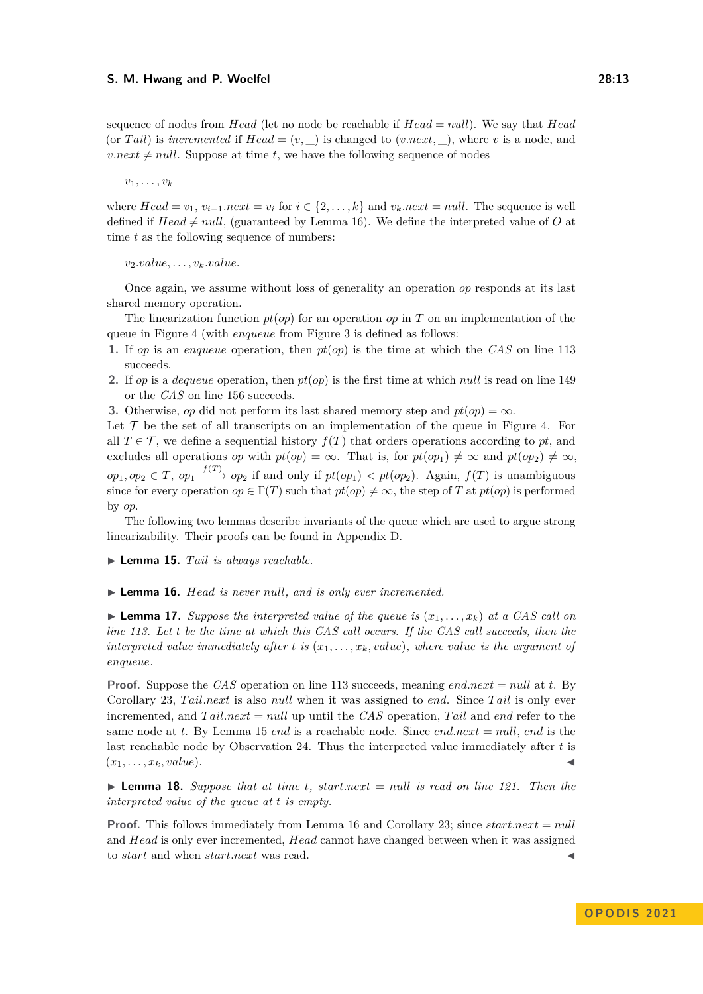sequence of nodes from *Head* (let no node be reachable if *Head* = *null*). We say that *Head* (or *Tail*) is *incremented* if  $Head = (v, \_)$  is changed to  $(v.next, \_)$ , where *v* is a node, and  $v.next \neq null$ . Suppose at time *t*, we have the following sequence of nodes

 $v_1, \ldots, v_k$ 

where  $Head = v_1, v_{i-1}$ *.next* =  $v_i$  for  $i \in \{2, ..., k\}$  and  $v_k.next = null$ . The sequence is well defined if  $Head \neq null$ , (guaranteed by Lemma [16\)](#page-12-0). We define the interpreted value of *O* at time *t* as the following sequence of numbers:

 $v_2.value, \ldots, v_k.value.$ 

Once again, we assume without loss of generality an operation *op* responds at its last shared memory operation.

The linearization function  $pt(op)$  for an operation  $op$  in  $T$  on an implementation of the queue in Figure [4](#page-11-6) (with *enqueue* from Figure [3](#page-11-5) is defined as follows:

- **1.** If *op* is an *enqueue* operation, then *pt*(*op*) is the time at which the *CAS* on line [113](#page-11-1) succeeds.
- **2.** If *op* is a *dequeue* operation, then *pt*(*op*) is the first time at which *null* is read on line [149](#page-11-10) or the *CAS* on line [156](#page-11-9) succeeds.

**3.** Otherwise, *op* did not perform its last shared memory step and  $pt($ *op* $) = \infty$ .

Let  $\mathcal T$  be the set of all transcripts on an implementation of the queue in Figure [4.](#page-11-6) For all  $T \in \mathcal{T}$ , we define a sequential history  $f(T)$  that orders operations according to pt, and excludes all operations *op* with  $pt(op) = \infty$ . That is, for  $pt(op_1) \neq \infty$  and  $pt(op_2) \neq \infty$ ,  $op_1, op_2 \in T$ ,  $op_1 \xrightarrow{f(T)} op_2$  if and only if  $pt(op_1) < pt(op_2)$ . Again,  $f(T)$  is unambiguous since for every operation  $op \in \Gamma(T)$  such that  $pt(op) \neq \infty$ , the step of *T* at  $pt(op)$  is performed by *op*.

The following two lemmas describe invariants of the queue which are used to argue strong linearizability. Their proofs can be found in Appendix [D.](#page-18-0)

- <span id="page-12-1"></span>▶ **Lemma 15.** *T ail is always reachable.*
- <span id="page-12-0"></span>▶ **Lemma 16.** *Head is never null, and is only ever incremented.*

<span id="page-12-3"></span> $\blacktriangleright$  **Lemma 17.** *Suppose the interpreted value of the queue is*  $(x_1, \ldots, x_k)$  *at a CAS call on line [113.](#page-11-1) Let t be the time at which this CAS call occurs. If the CAS call succeeds, then the interpreted value immediately after*  $t$  *is*  $(x_1, \ldots, x_k, value)$ *, where value is the argument of enqueue.*

**Proof.** Suppose the *CAS* operation on line [113](#page-11-1) succeeds, meaning *end.next* = *null* at *t*. By Corollary [23,](#page-18-1) *T ail.next* is also *null* when it was assigned to *end*. Since *T ail* is only ever incremented, and *T ail.next* = *null* up until the *CAS* operation, *T ail* and *end* refer to the same node at *t*. By Lemma [15](#page-12-1) *end* is a reachable node. Since *end.next* = *null*, *end* is the last reachable node by Observation [24.](#page-18-2) Thus the interpreted value immediately after *t* is  $(x_1, \ldots, x_k, value).$ 

<span id="page-12-2"></span> $\triangleright$  **Lemma 18.** *Suppose that at time t, start.next* = *null is read on line* [121.](#page-11-3) Then the *interpreted value of the queue at t is empty.*

<span id="page-12-4"></span>**Proof.** This follows immediately from Lemma [16](#page-12-0) and Corollary [23;](#page-18-1) since *start.next* = *null* and *Head* is only ever incremented, *Head* cannot have changed between when it was assigned to *start* and when *start.next* was read.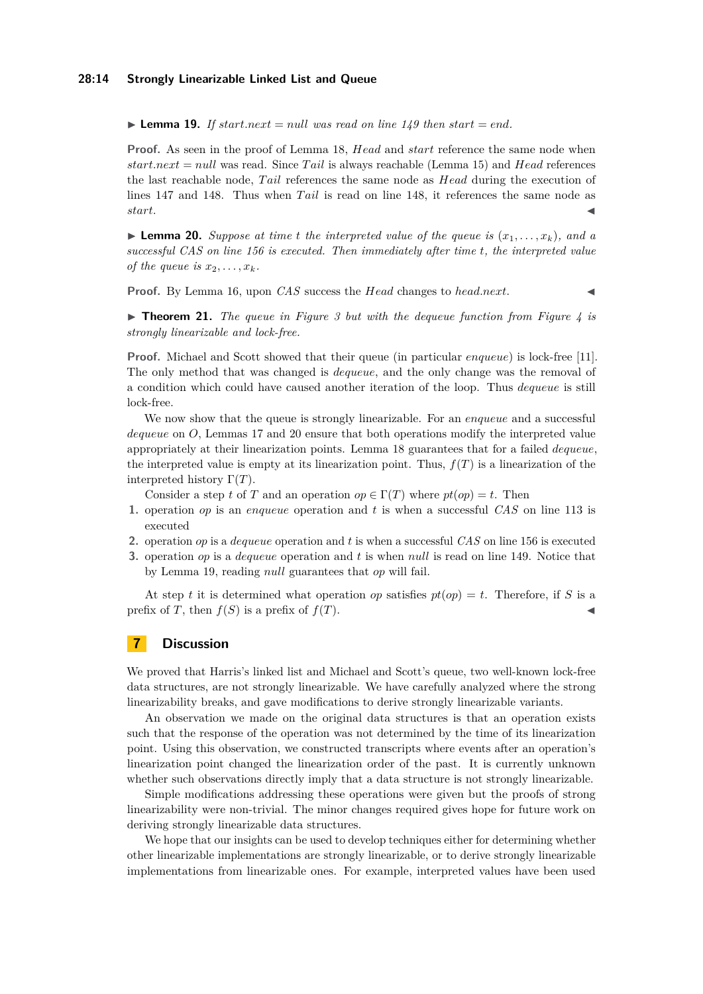## **28:14 Strongly Linearizable Linked List and Queue**

 $\blacktriangleright$  **Lemma 19.** If start.next = null was read on line [149](#page-11-10) then start = end.

**Proof.** As seen in the proof of Lemma [18,](#page-12-2) *Head* and *start* reference the same node when *start.next* = *null* was read. Since *T ail* is always reachable (Lemma [15\)](#page-12-1) and *Head* references the last reachable node, *T ail* references the same node as *Head* during the execution of lines [147](#page-11-11) and [148.](#page-11-12) Thus when *T ail* is read on line [148,](#page-11-12) it references the same node as *start*.

<span id="page-13-0"></span> $\blacktriangleright$  **Lemma 20.** *Suppose at time t the interpreted value of the queue is*  $(x_1, \ldots, x_k)$ *, and a successful CAS on line [156](#page-11-9) is executed. Then immediately after time t, the interpreted value of the queue is*  $x_2, \ldots, x_k$ *.* 

**Proof.** By Lemma [16,](#page-12-0) upon *CAS* success the *Head* changes to *head.next*.

▶ **Theorem 21.** *The queue in Figure [3](#page-11-5) but with the dequeue function from Figure [4](#page-11-6) is strongly linearizable and lock-free.*

**Proof.** Michael and Scott showed that their queue (in particular *enqueue*) is lock-free [\[11\]](#page-14-9). The only method that was changed is *dequeue*, and the only change was the removal of a condition which could have caused another iteration of the loop. Thus *dequeue* is still lock-free.

We now show that the queue is strongly linearizable. For an *enqueue* and a successful *dequeue* on *O*, Lemmas [17](#page-12-3) and [20](#page-13-0) ensure that both operations modify the interpreted value appropriately at their linearization points. Lemma [18](#page-12-2) guarantees that for a failed *dequeue*, the interpreted value is empty at its linearization point. Thus,  $f(T)$  is a linearization of the interpreted history  $\Gamma(T)$ .

Consider a step *t* of *T* and an operation  $op \in \Gamma(T)$  where  $pt(op) = t$ . Then

- **1.** operation *op* is an *enqueue* operation and *t* is when a successful *CAS* on line [113](#page-11-1) is executed
- **2.** operation *op* is a *dequeue* operation and *t* is when a successful *CAS* on line [156](#page-11-9) is executed
- **3.** operation *op* is a *dequeue* operation and *t* is when *null* is read on line [149.](#page-11-10) Notice that by Lemma [19,](#page-12-4) reading *null* guarantees that *op* will fail.

At step *t* it is determined what operation *op* satisfies  $pt(op) = t$ . Therefore, if *S* is a prefix of *T*, then  $f(S)$  is a prefix of  $f(T)$ .

# **7 Discussion**

We proved that Harris's linked list and Michael and Scott's queue, two well-known lock-free data structures, are not strongly linearizable. We have carefully analyzed where the strong linearizability breaks, and gave modifications to derive strongly linearizable variants.

An observation we made on the original data structures is that an operation exists such that the response of the operation was not determined by the time of its linearization point. Using this observation, we constructed transcripts where events after an operation's linearization point changed the linearization order of the past. It is currently unknown whether such observations directly imply that a data structure is not strongly linearizable.

Simple modifications addressing these operations were given but the proofs of strong linearizability were non-trivial. The minor changes required gives hope for future work on deriving strongly linearizable data structures.

We hope that our insights can be used to develop techniques either for determining whether other linearizable implementations are strongly linearizable, or to derive strongly linearizable implementations from linearizable ones. For example, interpreted values have been used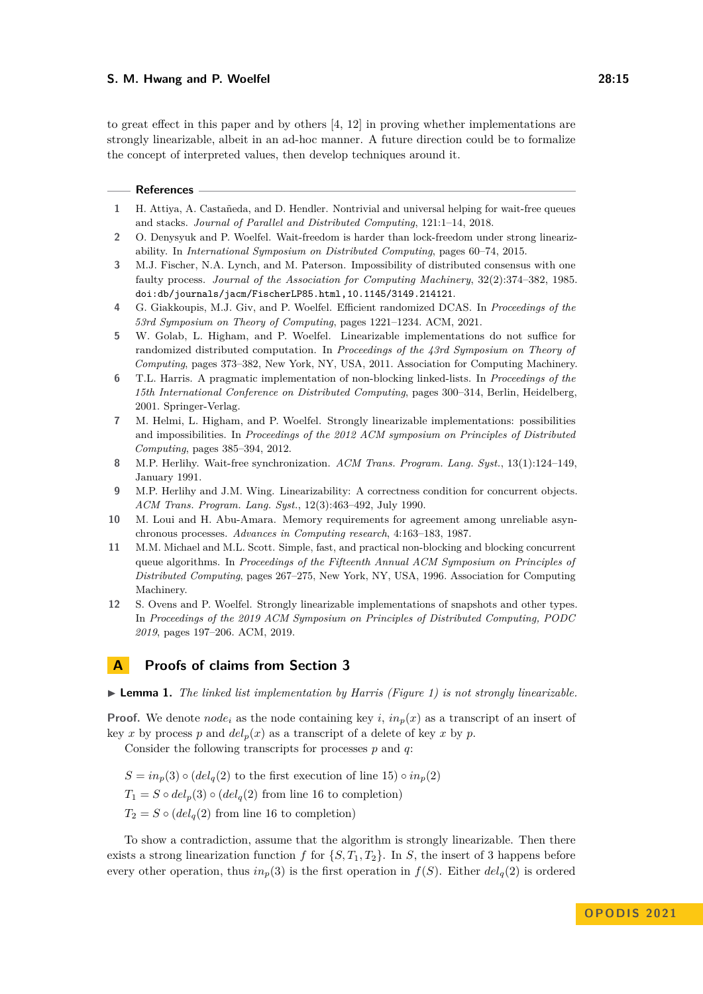to great effect in this paper and by others [\[4,](#page-14-10) [12\]](#page-14-4) in proving whether implementations are strongly linearizable, albeit in an ad-hoc manner. A future direction could be to formalize the concept of interpreted values, then develop techniques around it.

#### **References**

- <span id="page-14-11"></span>**1** H. Attiya, A. Castañeda, and D. Hendler. Nontrivial and universal helping for wait-free queues and stacks. *Journal of Parallel and Distributed Computing*, 121:1–14, 2018.
- <span id="page-14-3"></span>**2** O. Denysyuk and P. Woelfel. Wait-freedom is harder than lock-freedom under strong linearizability. In *International Symposium on Distributed Computing*, pages 60–74, 2015.
- <span id="page-14-5"></span>**3** M.J. Fischer, N.A. Lynch, and M. Paterson. Impossibility of distributed consensus with one faulty process. *Journal of the Association for Computing Machinery*, 32(2):374–382, 1985. [doi:db/journals/jacm/FischerLP85.html,10.1145/3149.214121](https://doi.org/db/journals/jacm/FischerLP85.html, 10.1145/3149.214121).
- <span id="page-14-10"></span>**4** G. Giakkoupis, M.J. Giv, and P. Woelfel. Efficient randomized DCAS. In *Proceedings of the 53rd Symposium on Theory of Computing*, pages 1221–1234. ACM, 2021.
- <span id="page-14-1"></span>**5** W. Golab, L. Higham, and P. Woelfel. Linearizable implementations do not suffice for randomized distributed computation. In *Proceedings of the 43rd Symposium on Theory of Computing*, pages 373–382, New York, NY, USA, 2011. Association for Computing Machinery.
- <span id="page-14-8"></span>**6** T.L. Harris. A pragmatic implementation of non-blocking linked-lists. In *Proceedings of the 15th International Conference on Distributed Computing*, pages 300–314, Berlin, Heidelberg, 2001. Springer-Verlag.
- <span id="page-14-2"></span>**7** M. Helmi, L. Higham, and P. Woelfel. Strongly linearizable implementations: possibilities and impossibilities. In *Proceedings of the 2012 ACM symposium on Principles of Distributed Computing*, pages 385–394, 2012.
- <span id="page-14-7"></span>**8** M.P. Herlihy. Wait-free synchronization. *ACM Trans. Program. Lang. Syst.*, 13(1):124–149, January 1991.
- <span id="page-14-0"></span>**9** M.P. Herlihy and J.M. Wing. Linearizability: A correctness condition for concurrent objects. *ACM Trans. Program. Lang. Syst.*, 12(3):463–492, July 1990.
- <span id="page-14-6"></span>**10** M. Loui and H. Abu-Amara. Memory requirements for agreement among unreliable asynchronous processes. *Advances in Computing research*, 4:163–183, 1987.
- <span id="page-14-9"></span>**11** M.M. Michael and M.L. Scott. Simple, fast, and practical non-blocking and blocking concurrent queue algorithms. In *Proceedings of the Fifteenth Annual ACM Symposium on Principles of Distributed Computing*, pages 267–275, New York, NY, USA, 1996. Association for Computing Machinery.
- <span id="page-14-4"></span>**12** S. Ovens and P. Woelfel. Strongly linearizable implementations of snapshots and other types. In *Proceedings of the 2019 ACM Symposium on Principles of Distributed Computing, PODC 2019*, pages 197–206. ACM, 2019.

# <span id="page-14-12"></span>**A Proofs of claims from Section 3**

▶ **Lemma 1.** *The linked list implementation by Harris (Figure [1\)](#page-5-3) is not strongly linearizable.*

**Proof.** We denote  $node_i$  as the node containing key *i*,  $in_p(x)$  as a transcript of an insert of key *x* by process *p* and  $del<sub>p</sub>(x)$  as a transcript of a delete of key *x* by *p*.

Consider the following transcripts for processes *p* and *q*:

 $S = in_p(3) \circ (del_q(2)$  to the first execution of line [15\)](#page-5-4)  $\circ in_p(2)$  $T_1 = S \circ del_p(3) \circ (del_q(2)$  from line [16](#page-5-5) to completion)  $T_2 = S \circ (del_q(2)$  from line [16](#page-5-5) to completion)

To show a contradiction, assume that the algorithm is strongly linearizable. Then there exists a strong linearization function *f* for  $\{S, T_1, T_2\}$ . In *S*, the insert of 3 happens before every other operation, thus  $in_p(3)$  is the first operation in  $f(S)$ . Either  $del_q(2)$  is ordered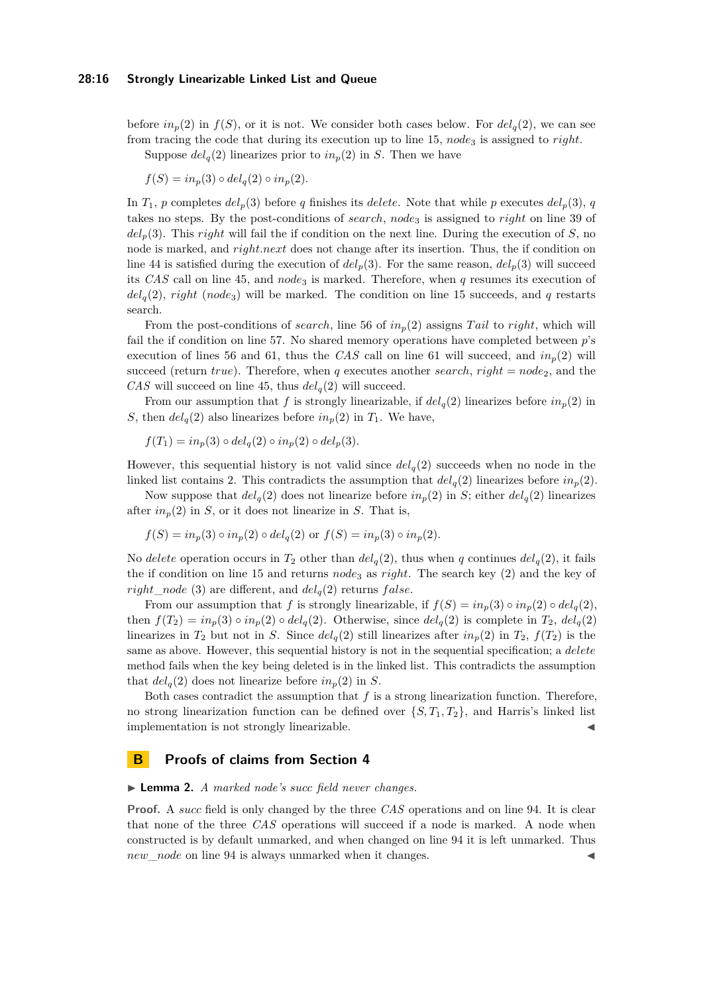## **28:16 Strongly Linearizable Linked List and Queue**

before  $in_p(2)$  in  $f(S)$ , or it is not. We consider both cases below. For  $del_q(2)$ , we can see from tracing the code that during its execution up to line [15,](#page-5-4) *node*<sup>3</sup> is assigned to *right*.

Suppose  $del_q(2)$  linearizes prior to  $in_p(2)$  in *S*. Then we have

$$
f(S) = in_p(3) \circ del_q(2) \circ in_p(2).
$$

In  $T_1$ , *p* completes  $del_p(3)$  before *q* finishes its *delete*. Note that while *p* executes  $del_p(3)$ , *q* takes no steps. By the post-conditions of *search*, *node*<sub>3</sub> is assigned to *right* on line [39](#page-5-6) of  $del<sub>p</sub>(3)$ . This *right* will fail the if condition on the next line. During the execution of *S*, no node is marked, and *right.next* does not change after its insertion. Thus, the if condition on line [44](#page-5-7) is satisfied during the execution of  $del_p(3)$ . For the same reason,  $del_p(3)$  will succeed its *CAS* call on line [45,](#page-5-2) and *node*<sub>3</sub> is marked. Therefore, when *q* resumes its execution of  $del_q(2)$ , *right* (*node*<sub>3</sub>) will be marked. The condition on line [15](#page-5-4) succeeds, and *q* restarts search.

From the post-conditions of *search*, line 56 of  $in_p(2)$  assigns *Tail* to *right*, which will fail the if condition on line 57. No shared memory operations have completed between *p*'s execution of lines 56 and 61, thus the *CAS* call on line 61 will succeed, and  $in_p(2)$  will succeed (return *true*). Therefore, when *q* executes another *search*, *right* =  $node_2$ , and the *CAS* will succeed on line 45, thus  $del_q(2)$  will succeed.

From our assumption that *f* is strongly linearizable, if  $del_q(2)$  linearizes before  $in_p(2)$  in *S*, then  $del_q(2)$  also linearizes before  $in_p(2)$  in  $T_1$ . We have,

$$
f(T_1) = in_p(3) \circ del_q(2) \circ in_p(2) \circ del_p(3).
$$

However, this sequential history is not valid since  $del_q(2)$  succeeds when no node in the linked list contains 2. This contradicts the assumption that  $del_q(2)$  linearizes before  $in_p(2)$ .

Now suppose that  $del_q(2)$  does not linearize before  $in_p(2)$  in *S*; either  $del_q(2)$  linearizes after  $in_n(2)$  in *S*, or it does not linearize in *S*. That is,

$$
f(S) = in_p(3) \circ in_p(2) \circ del_q(2) \text{ or } f(S) = in_p(3) \circ in_p(2).
$$

No *delete* operation occurs in  $T_2$  other than  $del_q(2)$ , thus when q continues  $del_q(2)$ , it fails the if condition on line [15](#page-5-4) and returns *node*<sub>3</sub> as *right*. The search key (2) and the key of *right\_node* (3) are different, and  $del_q(2)$  returns *f alse*.

From our assumption that *f* is strongly linearizable, if  $f(S) = in_p(3) \circ in_p(2) \circ del_q(2)$ , then  $f(T_2) = in_p(3) \circ in_p(2) \circ del_q(2)$ . Otherwise, since  $del_q(2)$  is complete in  $T_2$ ,  $del_q(2)$ linearizes in  $T_2$  but not in *S*. Since  $del_q(2)$  still linearizes after  $in_p(2)$  in  $T_2$ ,  $f(T_2)$  is the same as above. However, this sequential history is not in the sequential specification; a *delete* method fails when the key being deleted is in the linked list. This contradicts the assumption that  $del_q(2)$  does not linearize before  $in_p(2)$  in *S*.

Both cases contradict the assumption that  $f$  is a strong linearization function. Therefore, no strong linearization function can be defined over  $\{S, T_1, T_2\}$ , and Harris's linked list implementation is not strongly linearizable.

# <span id="page-15-0"></span>**B Proofs of claims from Section 4**

## ▶ **Lemma 2.** *A marked node's succ field never changes.*

**Proof.** A *succ* field is only changed by the three *CAS* operations and on line 94. It is clear that none of the three *CAS* operations will succeed if a node is marked. A node when constructed is by default unmarked, and when changed on line 94 it is left unmarked. Thus *new* node on line 94 is always unmarked when it changes.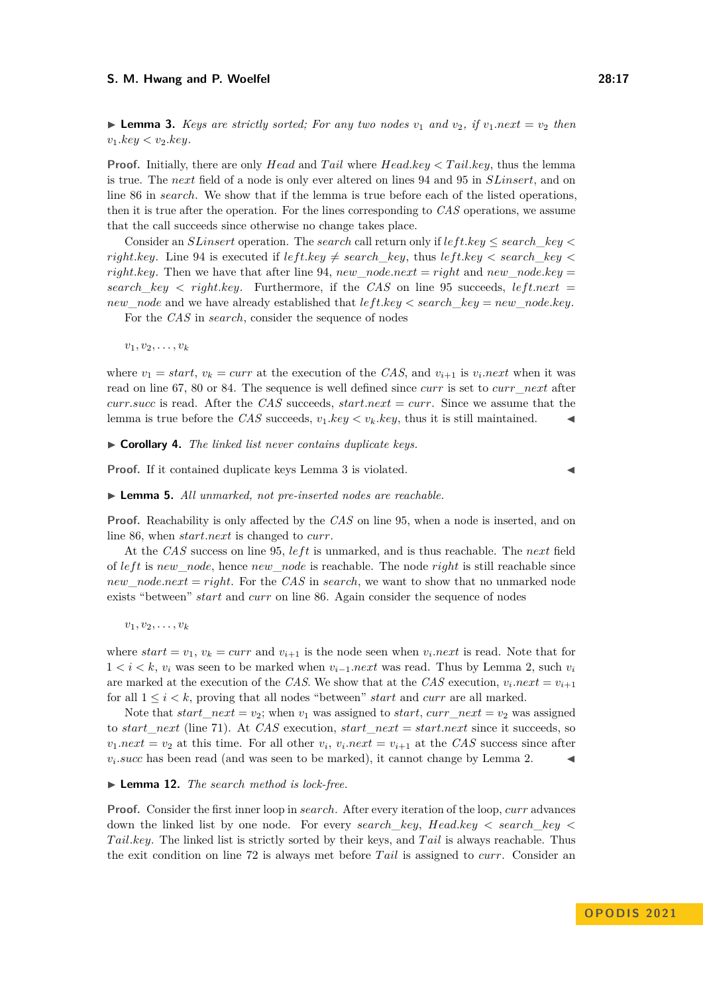**Proof.** Initially, there are only *Head* and *Tail* where *Head.key* < Tail.key, thus the lemma is true. The *next* field of a node is only ever altered on lines 94 and 95 in *SLinsert*, and on line 86 in *search*. We show that if the lemma is true before each of the listed operations, then it is true after the operation. For the lines corresponding to *CAS* operations, we assume that the call succeeds since otherwise no change takes place.

Consider an *SLinsert* operation. The *search* call return only if *lef t.key* ≤ *search*\_*key < right.key*. Line 94 is executed if  $leftkey \neq search$  *key*, thus  $leftkey < search$  *key < right.key.* Then we have that after line 94,  $new\_node.next = right$  and  $new\_node(key =$ *search*  $key < right.key$ . Furthermore, if the *CAS* on line 95 succeeds, *left.next* = *new*\_*node* and we have already established that *lef t.key < search*\_*key* = *new*\_*node.key*.

For the *CAS* in *search*, consider the sequence of nodes

 $v_1, v_2, \ldots, v_k$ 

where  $v_1 = start$ ,  $v_k = curr$  at the execution of the *CAS*, and  $v_{i+1}$  is  $v_i.next$  when it was read on line 67, 80 or 84. The sequence is well defined since *curr* is set to *curr*\_*next* after *curr.succ* is read. After the *CAS* succeeds, *start.next* = *curr*. Since we assume that the lemma is true before the *CAS* succeeds,  $v_1 \, key < v_k \, key$ , thus it is still maintained.  $\blacksquare$ 

▶ **Corollary 4.** *The linked list never contains duplicate keys.*

**Proof.** If it contained duplicate keys Lemma 3 is violated.

▶ **Lemma 5.** *All unmarked, not pre-inserted nodes are reachable.*

**Proof.** Reachability is only affected by the *CAS* on line 95, when a node is inserted, and on line 86, when *start.next* is changed to *curr*.

At the *CAS* success on line 95, *lef t* is unmarked, and is thus reachable. The *next* field of *lef t* is *new*\_*node*, hence *new*\_*node* is reachable. The node *right* is still reachable since *new*\_*node.next* = *right*. For the *CAS* in *search*, we want to show that no unmarked node exists "between" *start* and *curr* on line 86. Again consider the sequence of nodes

 $v_1, v_2, \ldots, v_k$ 

where  $start = v_1$ ,  $v_k = curr$  and  $v_{i+1}$  is the node seen when  $v_i.next$  is read. Note that for 1 *< i < k*,  $v_i$  was seen to be marked when  $v_{i-1}$ .next was read. Thus by Lemma 2, such  $v_i$ are marked at the execution of the *CAS*. We show that at the *CAS* execution,  $v_i.next = v_{i+1}$ for all 1 ≤ *i < k*, proving that all nodes "between" *start* and *curr* are all marked.

Note that  $start\_next = v_2$ ; when  $v_1$  was assigned to  $start$ ,  $curr\_next = v_2$  was assigned to *start*\_*next* (line [71\)](#page-7-11). At *CAS* execution, *start*\_*next* = *start.next* since it succeeds, so  $v_1.next = v_2$  at this time. For all other  $v_i$ ,  $v_i.next = v_{i+1}$  at the *CAS* success since after  $v_i.succ$  has been read (and was seen to be marked), it cannot change by Lemma 2.  $\blacktriangleleft$ 

## ▶ **Lemma 12.** *The search method is lock-free.*

**Proof.** Consider the first inner loop in *search*. After every iteration of the loop, *curr* advances down the linked list by one node. For every *search*\_*key*, *Head.key < search*\_*key < T ail.key*. The linked list is strictly sorted by their keys, and *T ail* is always reachable. Thus the exit condition on line [72](#page-7-4) is always met before *T ail* is assigned to *curr*. Consider an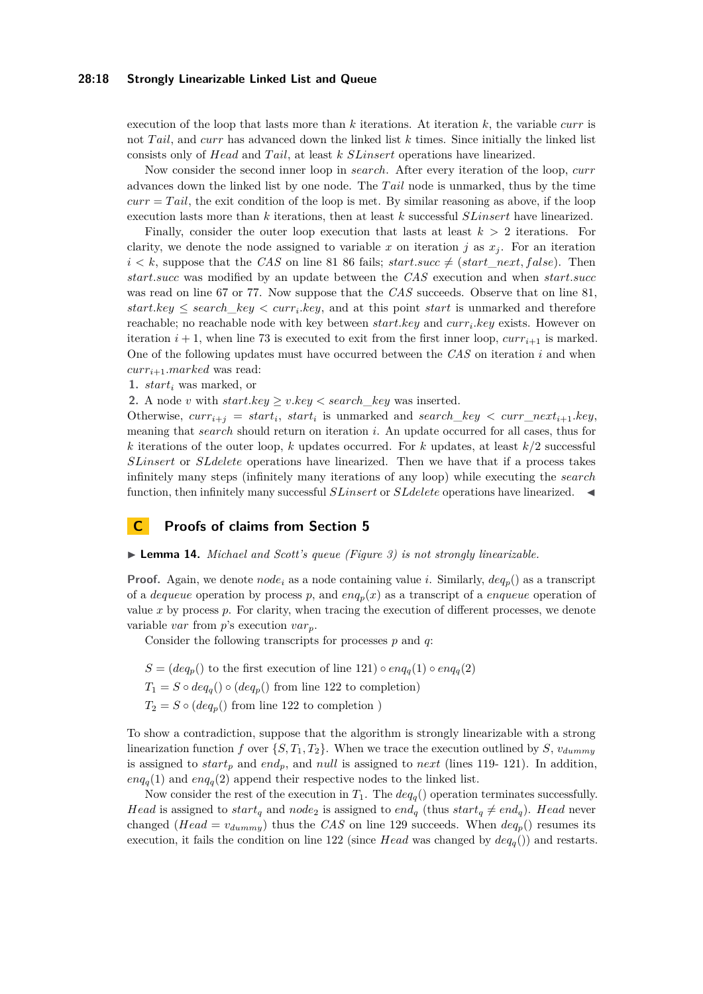## **28:18 Strongly Linearizable Linked List and Queue**

execution of the loop that lasts more than *k* iterations. At iteration *k*, the variable *curr* is not *T ail*, and *curr* has advanced down the linked list *k* times. Since initially the linked list consists only of *Head* and *T ail*, at least *k SLinsert* operations have linearized.

Now consider the second inner loop in *search*. After every iteration of the loop, *curr* advances down the linked list by one node. The *T ail* node is unmarked, thus by the time  $curr = Tail$ , the exit condition of the loop is met. By similar reasoning as above, if the loop execution lasts more than *k* iterations, then at least *k* successful *SLinsert* have linearized.

Finally, consider the outer loop execution that lasts at least  $k > 2$  iterations. For clarity, we denote the node assigned to variable x on iteration j as  $x_j$ . For an iteration  $i < k$ , suppose that the *CAS* on line [81](#page-7-12) 86 fails; *start.succ*  $\neq$  (*start\_next, false*). Then *start.succ* was modified by an update between the *CAS* execution and when *start.succ* was read on line [67](#page-7-2) or [77.](#page-7-3) Now suppose that the *CAS* succeeds. Observe that on line [81,](#page-7-12)  $start(key \leq search\_key < curr_i(key,$  and at this point *start* is unmarked and therefore reachable; no reachable node with key between *start.key* and *curr<sup>i</sup> .key* exists. However on iteration  $i + 1$ , when line [73](#page-7-5) is executed to exit from the first inner loop,  $curr_{i+1}$  is marked. One of the following updates must have occurred between the *CAS* on iteration *i* and when *curri*+1*.marked* was read:

**1.** *start<sup>i</sup>* was marked, or

**2.** A node *v* with  $start(key \geq vkey \leq search\; key$  was inserted.

Otherwise,  $curr_{i+j} = start_i$ ,  $start_i$  is unmarked and  $search\_key < curr\_next_{i+1}.key$ , meaning that *search* should return on iteration *i*. An update occurred for all cases, thus for *k* iterations of the outer loop, *k* updates occurred. For *k* updates, at least *k/*2 successful *SLinsert* or *SLdelete* operations have linearized. Then we have that if a process takes infinitely many steps (infinitely many iterations of any loop) while executing the *search* function, then infinitely many successful *SLinsert* or *SLdelete* operations have linearized. <

# <span id="page-17-0"></span>**C Proofs of claims from Section 5**

## ▶ **Lemma 14.** *Michael and Scott's queue (Figure [3\)](#page-11-5) is not strongly linearizable.*

**Proof.** Again, we denote  $node_i$  as a node containing value *i*. Similarly,  $deq_p$ () as a transcript of a *dequeue* operation by process p, and  $enq_p(x)$  as a transcript of a *enqueue* operation of value  $x$  by process  $p$ . For clarity, when tracing the execution of different processes, we denote variable *var* from *p*'s execution *varp*.

Consider the following transcripts for processes *p* and *q*:

- $S = (deq_p()$  to the first execution of line [121\)](#page-11-3)  $enq_q(1)$   $enq_q(2)$
- $T_1 = S \circ deq_q() \circ (deq_p()$  from line [122](#page-11-4) to completion)
- $T_2 = S \circ (deq_p()$  from line [122](#page-11-4) to completion )

To show a contradiction, suppose that the algorithm is strongly linearizable with a strong linearization function *f* over  $\{S, T_1, T_2\}$ . When we trace the execution outlined by *S*,  $v_{dummy}$ is assigned to *start<sup>p</sup>* and *endp*, and *null* is assigned to *next* (lines [119-](#page-11-13) [121\)](#page-11-3). In addition,  $enq_q(1)$  and  $enq_q(2)$  append their respective nodes to the linked list.

Now consider the rest of the execution in  $T_1$ . The  $deg_q()$  operation terminates successfully. *Head* is assigned to *start<sub>q</sub>* and *node*<sub>2</sub> is assigned to *end<sub>q</sub>* (thus *start<sub>q</sub>*  $\neq end_q$ ). *Head* never changed (*Head* =  $v_{dummy}$ ) thus the *CAS* on line [129](#page-11-2) succeeds. When  $deq_p()$  resumes its execution, it fails the condition on line [122](#page-11-4) (since *Head* was changed by  $deq_q()$ ) and restarts.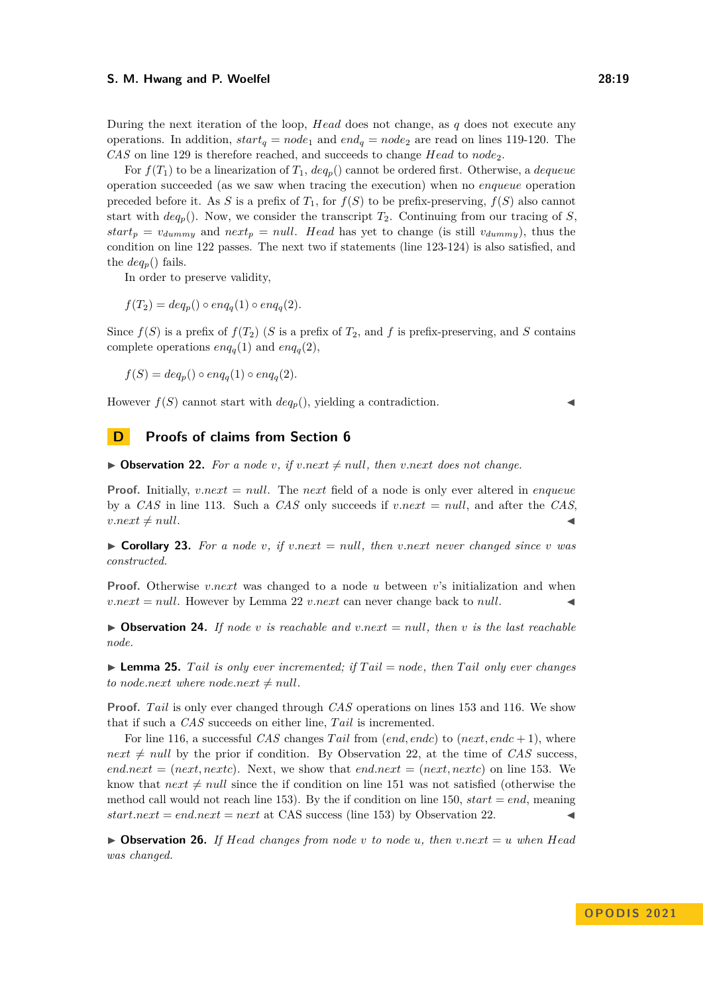During the next iteration of the loop, *Head* does not change, as *q* does not execute any operations. In addition,  $start_q = node_1$  and  $end_q = node_2$  are read on lines [119-](#page-11-13)[120.](#page-11-14) The

*CAS* on line [129](#page-11-2) is therefore reached, and succeeds to change *Head* to *node*2. For  $f(T_1)$  to be a linearization of  $T_1$ ,  $deq_p()$  cannot be ordered first. Otherwise, a *dequeue* operation succeeded (as we saw when tracing the execution) when no *enqueue* operation preceded before it. As *S* is a prefix of  $T_1$ , for  $f(S)$  to be prefix-preserving,  $f(S)$  also cannot start with  $deq_p$ ). Now, we consider the transcript  $T_2$ . Continuing from our tracing of *S*,  $start_p = v_{dummy}$  and  $next_p = null$ . *Head* has yet to change (is still  $v_{dummy}$ ), thus the condition on line [122](#page-11-4) passes. The next two if statements (line [123-](#page-11-15)[124\)](#page-11-16) is also satisfied, and the  $deq_p()$  fails.

In order to preserve validity,

 $f(T_2) = deg_p() \circ eng_q(1) \circ eng_q(2)$ .

Since  $f(S)$  is a prefix of  $f(T_2)$  (*S* is a prefix of  $T_2$ , and *f* is prefix-preserving, and *S* contains complete operations  $enq_q(1)$  and  $enq_q(2)$ ,

 $f(S) = deg_n() \circ eng_a(1) \circ eng_a(2)$ .

However  $f(S)$  cannot start with  $deq_p()$ , yielding a contradiction.

# <span id="page-18-0"></span>**D Proofs of claims from Section 6**

<span id="page-18-3"></span> $\triangleright$  **Observation 22.** For a node *v*, if *v.next*  $\neq$  *null*, then *v.next* does not change.

**Proof.** Initially, *v.next* = *null*. The *next* field of a node is only ever altered in *enqueue* by a *CAS* in line [113.](#page-11-1) Such a *CAS* only succeeds if *v.next* = *null*, and after the *CAS*,  $v.next \neq null.$ 

<span id="page-18-1"></span> $\triangleright$  **Corollary 23.** For a node *v*, if *v.next* = *null*, then *v.next* never changed since *v* was *constructed.*

**Proof.** Otherwise *v.next* was changed to a node *u* between *v*'s initialization and when  $v.next = null$ . However by Lemma [22](#page-18-3) *v.next* can never change back to *null*.

<span id="page-18-2"></span> $\triangleright$  **Observation 24.** *If node v is reachable and v.next* = *null, then v is the last reachable node.*

<span id="page-18-4"></span> $\triangleright$  **Lemma 25.** *Tail is only ever incremented; if Tail* = *node, then Tail only ever changes*  $to$  *node.next* where *node.next*  $\neq$  *null*.

**Proof.** *Tail* is only ever changed through *CAS* operations on lines [153](#page-11-17) and [116.](#page-11-18) We show that if such a *CAS* succeeds on either line, *T ail* is incremented.

For line [116,](#page-11-18) a successful *CAS* changes *T ail* from (*end, endc*) to (*next, endc* + 1), where  $next \neq null$  by the prior if condition. By Observation [22,](#page-18-3) at the time of *CAS* success,  $end.next = (next.next).$  Next, we show that  $end.next = (next.next)$  on line [153.](#page-11-17) We know that  $next \neq null$  since the if condition on line [151](#page-11-19) was not satisfied (otherwise the method call would not reach line [153\)](#page-11-17). By the if condition on line [150,](#page-11-20)  $start = end$ , meaning  $start.next = end.next = next$  at CAS success (line [153\)](#page-11-17) by Observation [22.](#page-18-3)

<span id="page-18-5"></span> $\triangleright$  **Observation 26.** *If Head changes from node v to node u, then v.next* = *u* when *Head was changed.*